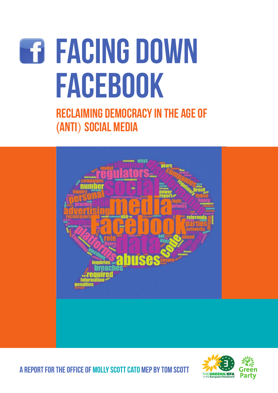# **EACING DOWN FACEBOOK**

Reclaiming democracy in the age of (anti) social media





a Report for the office of molly scott cato mep by tom scott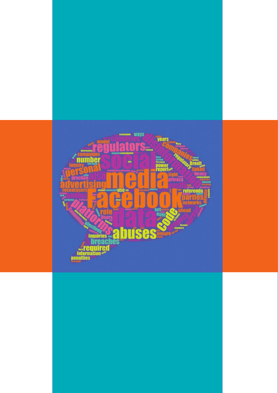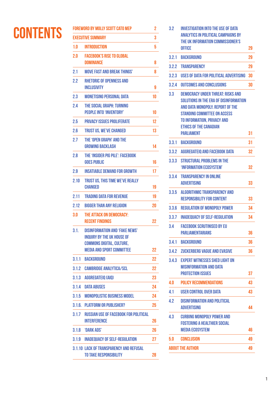| <b>CONTENTS</b><br><b>EXECUTIVE SUMMARY</b><br>1.0<br><b>INTRODUCTION</b><br><b>FACEBOOK'S RISE TO GLOBAL</b><br>2.0<br><b>DOMINANCE</b><br>2.1<br><b>MOVE FAST AND BREAK THINGS'</b><br>2.2<br><b>RHETORIC OF OPENNESS AND</b><br><b>INCLUSIVITY</b><br>2.3<br><b>MONETISING PERSONAL DATA</b><br><b>THE SOCIAL GRAPH: TURNING</b><br>2.4<br><b>PEOPLE INTO 'INVENTORY'</b><br>2.5<br><b>PRIVACY ISSUES PROLIFERATE</b><br><b>TRUST US, WE'VE CHANGED</b><br>2.6<br>2.7<br>THE 'OPEN GRAPH' AND THE<br><b>GROWING BACKLASH</b><br>2.8<br>THE 'INSIDER PIG PILE': FACEBOOK<br><b>GOES PUBLIC</b><br>2.9<br><b>INSATIABLE DEMAND FOR GROWTH</b><br>2.10<br>TRUST US, THIS TIME WE'VE REALLY<br><b>CHANGED</b><br>2.11<br><b>TRADING DATA FOR REVENUE</b><br>2.12<br><b>BIGGER THAN ANY RELIGION</b><br>3.0<br>THE ATTACK ON DEMOCRACY:<br><b>RECENT FINDINGS</b><br><b>DISINFORMATION AND 'FAKE NEWS'</b><br>3.1. | 3<br>5<br>8<br>8<br>9<br>10<br>10<br>12 |
|------------------------------------------------------------------------------------------------------------------------------------------------------------------------------------------------------------------------------------------------------------------------------------------------------------------------------------------------------------------------------------------------------------------------------------------------------------------------------------------------------------------------------------------------------------------------------------------------------------------------------------------------------------------------------------------------------------------------------------------------------------------------------------------------------------------------------------------------------------------------------------------------------------------|-----------------------------------------|
|                                                                                                                                                                                                                                                                                                                                                                                                                                                                                                                                                                                                                                                                                                                                                                                                                                                                                                                  |                                         |
|                                                                                                                                                                                                                                                                                                                                                                                                                                                                                                                                                                                                                                                                                                                                                                                                                                                                                                                  |                                         |
|                                                                                                                                                                                                                                                                                                                                                                                                                                                                                                                                                                                                                                                                                                                                                                                                                                                                                                                  |                                         |
|                                                                                                                                                                                                                                                                                                                                                                                                                                                                                                                                                                                                                                                                                                                                                                                                                                                                                                                  |                                         |
|                                                                                                                                                                                                                                                                                                                                                                                                                                                                                                                                                                                                                                                                                                                                                                                                                                                                                                                  |                                         |
|                                                                                                                                                                                                                                                                                                                                                                                                                                                                                                                                                                                                                                                                                                                                                                                                                                                                                                                  |                                         |
|                                                                                                                                                                                                                                                                                                                                                                                                                                                                                                                                                                                                                                                                                                                                                                                                                                                                                                                  |                                         |
|                                                                                                                                                                                                                                                                                                                                                                                                                                                                                                                                                                                                                                                                                                                                                                                                                                                                                                                  |                                         |
|                                                                                                                                                                                                                                                                                                                                                                                                                                                                                                                                                                                                                                                                                                                                                                                                                                                                                                                  | 13                                      |
|                                                                                                                                                                                                                                                                                                                                                                                                                                                                                                                                                                                                                                                                                                                                                                                                                                                                                                                  | 14                                      |
|                                                                                                                                                                                                                                                                                                                                                                                                                                                                                                                                                                                                                                                                                                                                                                                                                                                                                                                  | 16                                      |
|                                                                                                                                                                                                                                                                                                                                                                                                                                                                                                                                                                                                                                                                                                                                                                                                                                                                                                                  | 17                                      |
|                                                                                                                                                                                                                                                                                                                                                                                                                                                                                                                                                                                                                                                                                                                                                                                                                                                                                                                  | 19                                      |
|                                                                                                                                                                                                                                                                                                                                                                                                                                                                                                                                                                                                                                                                                                                                                                                                                                                                                                                  | 19                                      |
|                                                                                                                                                                                                                                                                                                                                                                                                                                                                                                                                                                                                                                                                                                                                                                                                                                                                                                                  | 20                                      |
|                                                                                                                                                                                                                                                                                                                                                                                                                                                                                                                                                                                                                                                                                                                                                                                                                                                                                                                  | 22                                      |
| <b>INQUIRY BY THE UK HOUSE OF</b><br><b>COMMONS DIGITAL, CULTURE,</b><br><b>MEDIA AND SPORT COMMITTEE</b>                                                                                                                                                                                                                                                                                                                                                                                                                                                                                                                                                                                                                                                                                                                                                                                                        | 22                                      |
| <b>BACKGROUND</b><br>3.1.1                                                                                                                                                                                                                                                                                                                                                                                                                                                                                                                                                                                                                                                                                                                                                                                                                                                                                       | 22                                      |
| 3.1.2<br><b>CAMBRIDGE ANALYTICA/SCL</b>                                                                                                                                                                                                                                                                                                                                                                                                                                                                                                                                                                                                                                                                                                                                                                                                                                                                          | 22                                      |
| 3.1.3<br><b>AGGREGATEIO (AIO)</b>                                                                                                                                                                                                                                                                                                                                                                                                                                                                                                                                                                                                                                                                                                                                                                                                                                                                                | 23                                      |
| 3.1.4<br><b>DATA ABUSES</b>                                                                                                                                                                                                                                                                                                                                                                                                                                                                                                                                                                                                                                                                                                                                                                                                                                                                                      | 24                                      |
| 3.1.5<br><b>MONOPOLISTIC BUSINESS MODEL</b>                                                                                                                                                                                                                                                                                                                                                                                                                                                                                                                                                                                                                                                                                                                                                                                                                                                                      | 24                                      |
| 3.1.6. PLATFORM OR PUBLISHER?                                                                                                                                                                                                                                                                                                                                                                                                                                                                                                                                                                                                                                                                                                                                                                                                                                                                                    | 25                                      |
| <b>RUSSIAN USE OF FACEBOOK FOR POLITICAL</b><br>3.1.7<br><b>INTERFERENCE</b>                                                                                                                                                                                                                                                                                                                                                                                                                                                                                                                                                                                                                                                                                                                                                                                                                                     | 26                                      |
| 3.1.8<br><b>'DARK ADS'</b>                                                                                                                                                                                                                                                                                                                                                                                                                                                                                                                                                                                                                                                                                                                                                                                                                                                                                       | 26                                      |
| <b>INADEQUACY OF SELF-REGULATION</b><br>3.1.9                                                                                                                                                                                                                                                                                                                                                                                                                                                                                                                                                                                                                                                                                                                                                                                                                                                                    | 27                                      |
| <b>3.1.10 LACK OF TRANSPARENCY AND REFUSAL</b><br><b>TO TAKE RESPONSIBILITY</b><br>28                                                                                                                                                                                                                                                                                                                                                                                                                                                                                                                                                                                                                                                                                                                                                                                                                            |                                         |

| 3.2   | INVESTIGATION INTO THE USE OF DATA<br><b>ANALYTICS IN POLITICAL CAMPAIGNS BY</b><br>THE UK INFORMATION COMMISSIONER'S                                                                                                                              |    |
|-------|----------------------------------------------------------------------------------------------------------------------------------------------------------------------------------------------------------------------------------------------------|----|
|       | <b>OFFICE</b>                                                                                                                                                                                                                                      | 29 |
| 3.2.1 | <b>BACKGROUND</b>                                                                                                                                                                                                                                  | 29 |
| 3.2.2 | <b>TRANSPARENCY</b>                                                                                                                                                                                                                                | 29 |
| 323   | USES OF DATA FOR POLITICAL ADVERTISING                                                                                                                                                                                                             | 30 |
| 3.2.4 | <b>OUTCOMES AND CONCLUSIONS</b>                                                                                                                                                                                                                    | 30 |
| 3.3   | <b>DEMOCRACY UNDER THREAT: RISKS AND</b><br>SOLUTIONS IN THE ERA OF DISINFORMATION<br>AND DATA MONOPOLY, REPORT OF THE<br><b>STANDING COMMITTEE ON ACCESS</b><br>TO INFORMATION, PRIVACY AND<br><b>ETHICS OF THE CANADIAN</b><br><b>PARLIAMENT</b> | 31 |
| 3.3.1 | <b><i>RACKGROUND</i></b>                                                                                                                                                                                                                           | 31 |
| 3.3.2 | <b>AGGREGATEIO AND FACEBOOK DATA</b>                                                                                                                                                                                                               | 32 |
| 3.3.3 | <b>STRUCTURAL PROBLEMS IN THE</b><br><b>'INFORMATION ECOSYSTEM'</b>                                                                                                                                                                                | 32 |
| 3.3.4 | <b>TRANSPARENCY IN ONLINE</b><br><b>ADVERTISING</b>                                                                                                                                                                                                | 33 |
| 3.3.5 | ALGORITHMIC TRANSPARENCY AND<br><b>RESPONSIBILITY FOR CONTENT</b>                                                                                                                                                                                  | 33 |
| 3.3.6 | <b>REGULATION OF MONOPOLY POWER</b>                                                                                                                                                                                                                | 34 |
| 3.3.7 | <b>INADEQUACY OF SELF-REGULATION</b>                                                                                                                                                                                                               | 34 |
| 3.4   | <b>FACEBOOK SCRUTINISED BY EU</b><br><b><i>PARLIAMENTARIANS</i></b>                                                                                                                                                                                | 36 |
| 3.4.1 | <b>BACKGROUND</b>                                                                                                                                                                                                                                  | 36 |
| 3.4.2 | <b>ZUCKERBERG VAGUE AND EVASIVE</b>                                                                                                                                                                                                                | 36 |
| 3.4.3 | <b>FXPERT WITNESSES SHED LIGHT ON</b><br><b>MISINFORMATION AND DATA</b>                                                                                                                                                                            |    |
|       | <b>PROTECTION ISSUES</b>                                                                                                                                                                                                                           | 37 |
| 4.0   | <b>POLICY RECOMMENDATIONS</b>                                                                                                                                                                                                                      | 43 |
| 4.1   | <b>USER CONTROL OVER DATA</b>                                                                                                                                                                                                                      | 43 |
| 4.2   | <b>DISINFORMATION AND POLITICAL</b><br><b>ADVERTISING</b>                                                                                                                                                                                          | 44 |
| 43    | <b>CURBING MONOPOLY POWER AND</b><br><b>FOSTERING A HEALTHIER SOCIAL</b><br><b>MEDIA ECOSYSTEM</b>                                                                                                                                                 | 46 |
|       |                                                                                                                                                                                                                                                    |    |
| 5.0   | <b>CONCLUSION</b>                                                                                                                                                                                                                                  | 49 |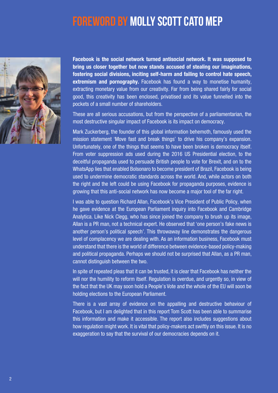### Foreword by Molly Scott Cato MEP



Facebook is the social network turned antisocial network. It was supposed to bring us closer together but now stands accused of stealing our imaginations, fostering social divisions, inciting self-harm and failing to control hate speech, extremism and pornography. Facebook has found a way to monetise humanity, extracting monetary value from our creativity. Far from being shared fairly for social good, this creativity has been enclosed, privatised and its value funnelled into the pockets of a small number of shareholders.

These are all serious accusations, but from the perspective of a parliamentarian, the most destructive singular impact of Facebook is its impact on democracy.

Mark Zuckerberg, the founder of this global information behemoth, famously used the mission statement 'Move fast and break things' to drive his company's expansion. Unfortunately, one of the things that seems to have been broken is democracy itself. From voter suppression ads used during the 2016 US Presidential election, to the deceitful propaganda used to persuade British people to vote for Brexit, and on to the WhatsApp lies that enabled Bolsonaro to become president of Brazil, Facebook is being used to undermine democratic standards across the world. And, while actors on both the right and the left could be using Facebook for propaganda purposes, evidence is growing that this anti-social network has now become a major tool of the far right.

I was able to question Richard Allan, Facebook's Vice President of Public Policy, when he gave evidence at the European Parliament inquiry into Facebook and Cambridge Analytica. Like Nick Clegg, who has since joined the company to brush up its image, Allan is a PR man, not a technical expert. He observed that 'one person's fake news is another person's political speech'. This throwaway line demonstrates the dangerous level of complacency we are dealing with. As an information business, Facebook must understand that there is the world of difference between evidence-based policy-making and political propaganda. Perhaps we should not be surprised that Allan, as a PR man, cannot distinguish between the two.

In spite of repeated pleas that it can be trusted, it is clear that Facebook has neither the will nor the humility to reform itself. Regulation is overdue, and urgently so, in view of the fact that the UK may soon hold a People's Vote and the whole of the EU will soon be holding elections to the European Parliament.

There is a vast array of evidence on the appalling and destructive behaviour of Facebook, but I am delighted that in this report Tom Scott has been able to summarise this information and make it accessible. The report also includes suggestions about how regulation might work. It is vital that policy-makers act swiftly on this issue. It is no exaggeration to say that the survival of our democracies depends on it.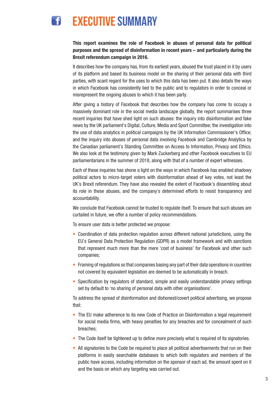### Executive summary

#### This report examines the role of Facebook in abuses of personal data for political purposes and the spread of disinformation in recent years – and particularly during the Brexit referendum campaign in 2016.

It describes how the company has, from its earliest years, abused the trust placed in it by users of its platform and based its business model on the sharing of their personal data with third parties, with scant regard for the uses to which this data has been put. It also details the ways in which Facebook has consistently lied to the public and to regulators in order to conceal or misrepresent the ongoing abuses to which it has been party.

After giving a history of Facebook that describes how the company has come to occupy a massively dominant role in the social media landscape globally, the report summarises three recent inquiries that have shed light on such abuses: the inquiry into disinformation and fake news by the UK parliament's Digital, Culture, Media and Sport Committee; the investigation into the use of data analytics in political campaigns by the UK Information Commissioner's Office; and the inquiry into abuses of personal data involving Facebook and Cambridge Analytica by the Canadian parliament's Standing Committee on Access to Information, Privacy and Ethics. We also look at the testimony given by Mark Zuckerberg and other Facebook executives to EU parliamentarians in the summer of 2018, along with that of a number of expert witnesses.

Each of these inquiries has shone a light on the ways in which Facebook has enabled shadowy political actors to micro-target voters with disinformation ahead of key votes, not least the UK's Brexit referendum. They have also revealed the extent of Facebook's dissembling about its role in these abuses, and the company's determined efforts to resist transparency and accountability.

We conclude that Facebook cannot be trusted to regulate itself. To ensure that such abuses are curtailed in future, we offer a number of policy recommendations.

To ensure user data is better protected we propose:

- Coordination of data protection regulation across different national jurisdictions, using the EU's General Data Protection Regulation (GDPR) as a model framework and with sanctions that represent much more than the mere 'cost of business' for Facebook and other such companies;
- Framing of regulations so that companies basing any part of their data operations in countries not covered by equivalent legislation are deemed to be automatically in breach.
- Specification by regulators of standard, simple and easily understandable privacy settings set by default to 'no sharing of personal data with other organisations'.

To address the spread of disinformation and dishonest/covert political advertising, we propose that:

- The EU make adherence to its new Code of Practice on Disinformation a legal requirement for social media firms, with heavy penalties for any breaches and for concealment of such breaches;
- The Code itself be tightened up to define more precisely what is required of its signatories.
- All signatories to the Code be required to place all political advertisements that run on their platforms in easily searchable databases to which both regulators and members of the public have access, including information on the sponsor of each ad, the amount spent on it and the basis on which any targeting was carried out.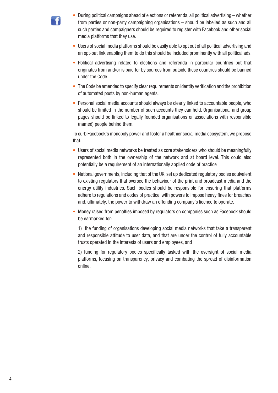

- During political campaigns ahead of elections or referenda, all political advertising whether from parties or non-party campaigning organisations – should be labelled as such and all such parties and campaigners should be required to register with Facebook and other social media platforms that they use.
- Users of social media platforms should be easily able to opt out of all political advertising and an opt-out link enabling them to do this should be included prominently with all political ads.
- Political advertising related to elections and referenda in particular countries but that originates from and/or is paid for by sources from outside these countries should be banned under the Code.
- The Code be amended to specify clear requirements on identity verification and the prohibition of automated posts by non-human agents.
- Personal social media accounts should always be clearly linked to accountable people, who should be limited in the number of such accounts they can hold. Organisational and group pages should be linked to legally founded organisations or associations with responsible (named) people behind them.

To curb Facebook's monopoly power and foster a healthier social media ecosystem, we propose that:

- Users of social media networks be treated as core stakeholders who should be meaningfully represented both in the ownership of the network and at board level. This could also potentially be a requirement of an internationally applied code of practice
- National governments, including that of the UK, set up dedicated regulatory bodies equivalent to existing regulators that oversee the behaviour of the print and broadcast media and the energy utility industries. Such bodies should be responsible for ensuring that platforms adhere to regulations and codes of practice, with powers to impose heavy fines for breaches and, ultimately, the power to withdraw an offending company's licence to operate.
- Money raised from penalties imposed by regulators on companies such as Facebook should be earmarked for:

1) fhe funding of organisations developing social media networks that take a transparent and responsible attitude to user data, and that are under the control of fully accountable trusts operated in the interests of users and employees, and

2) funding for regulatory bodies specifically tasked with the oversight of social media platforms, focusing on transparency, privacy and combating the spread of disinformation online.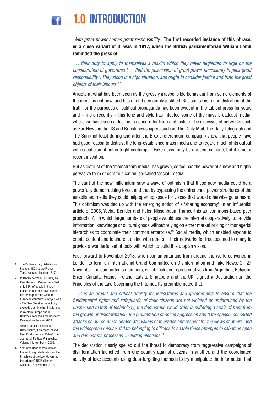### 1.0 Introduction

*'With great power comes great responsibility.'* The first recorded instance of this phrase, or a close variant of it, was in 1817, when the British parliamentarian William Lamb reminded the press of:

*'… their duty to apply to themselves a maxim which they never neglected to urge on the consideration of government – "that the possession of great power necessarily implies great responsibility". They stood in a high situation, and ought to consider justice and truth the great objects of their labours.'* <sup>1</sup>

Anxiety at what has been seen as the grossly irresponsible behaviour from some elements of the media is not new, and has often been amply justified. Racism, sexism and distortion of the truth for the purposes of political propaganda has been evident in the tabloid press for years and – more recently – this tone and style has infected some of the mass broadcast media, where we have seen a decline in concern for truth and justice. The excesses of networks such as Fox News in the US and British newspapers such as The Daily Mail, The Daily Telegraph and The Sun (not least during and after the Brexit referendum campaign) show that people have had good reason to distrust the long-established mass media and to regard much of its output with scepticism if not outright contempt.<sup>2</sup> 'Fake news' may be a recent coinage, but it is not a recent invention.

But as distrust of the 'mainstream media' has grown, so too has the power of a new and highly pervasive form of communication: so-called 'social' media.

The start of the new millennium saw a wave of optimism that these new media could be a powerfully democratising force, and that by bypassing the entrenched power structures of the established media they could help open up space for voices that would otherwise go unheard. This optimism was tied up with the emerging notion of a 'sharing economy'. In an influential article of 2006, Yochai Benkler and Helen Nissenbaum framed this as 'commons-based peer production', in which large numbers of people would use the Internet cooperatively 'to provide information, knowledge or cultural goods without relying on either market pricing or managerial hierarchies to coordinate their common enterprise.'3 Social media, which enabled anyone to create content and to share it online with others in their networks for free, seemed to many to provide a wonderful set of tools with which to build this utopian vision.

Fast forward to November 2018, when parliamentarians from around the world convened in London to form an International Grand Committee on Disinformation and Fake News. On 27 November the committee's members, which included representatives from Argentina, Belgium, Brazil, Canada, France, Ireland, Latvia, Singapore and the UK, signed a Declaration on the Principles of the Law Governing the Internet. Its preamble noted that:

*'…it is an urgent and critical priority for legislatures and governments to ensure that the fundamental rights and safeguards of their citizens are not violated or undermined by the unchecked march of technology; the democratic world order is suffering a crisis of trust from the growth of disinformation, the proliferation of online aggression and hate speech, concerted attacks on our common democratic values of tolerance and respect for the views of others, and the widespread misuse of data belonging to citizens to enable these attempts to sabotage open and democratic processes, including elections*.'4

The declaration clearly spelled out the threat to democracy from 'aggressive campaigns of disinformation launched from one country against citizens in another, and the coordinated activity of fake accounts using data-targeting methods to try manipulate the information that

- 1 The Parliamentary Debates from the Year 1803 to the Present Time, Hansard, London, 1817
- 2 In December 2017, a survey by Pew Research Center found that only 32% of people in the UK placed trust in the news media; the average for the Western European countries surveyed was 41%. See: 'Trust in the military exceeds trust in other institutions in Western Europe and U.S.', Courtney Johnson, Pew Research Center, 4 September 2018.
- 3 Yochai Benckler and Helen Nissenbaum, 'Commons-based Peer Production and Virtue', The Journal of Political Philosophy: Volume 14, Number 4, 2006.
- 4 'Parliamentarians from across the world sign declaration on the Principles of the Law Governing the Internet', UK Parliament website, 27 November 2018.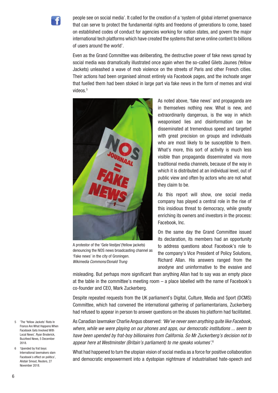

people see on social media'. It called for the creation of a 'system of global internet governance that can serve to protect the fundamental rights and freedoms of generations to come, based on established codes of conduct for agencies working for nation states, and govern the major international tech platforms which have created the systems that serve online content to billions of users around the world'.

Even as the Grand Committee was deliberating, the destructive power of fake news spread by social media was dramatically illustrated once again when the so-called Gilets Jaunes (Yellow Jackets) unleashed a wave of mob violence on the streets of Paris and other French cities. Their actions had been organised almost entirely via Facebook pages, and the inchoate anger that fuelled them had been stoked in large part via fake news in the form of memes and viral videos.<sup>5</sup>



A protestor of the 'Gele Vestjes'(Yellow jackets) denouncing the NOS news broadcasting channel as 'Fake news' in the city of Groningen. *Wikimedia Commons/Donald Trung*

As noted above, 'fake news' and propaganda are in themselves nothing new. What is new, and extraordinarily dangerous, is the way in which weaponised lies and disinformation can be disseminated at tremendous speed and targeted with great precision on groups and individuals who are most likely to be susceptible to them. What's more, this sort of activity is much less visible than propaganda disseminated via more traditional media channels, because of the way in which it is distributed at an individual level, out of public view and often by actors who are not what they claim to be.

As this report will show, one social media company has played a central role in the rise of this insidious threat to democracy, while greatly enriching its owners and investors in the process: Facebook, Inc.

On the same day the Grand Committee issued its declaration, its members had an opportunity to address questions about Facebook's role to the company's Vice President of Policy Solutions, Richard Allan. His answers ranged from the anodyne and uninformative to the evasive and

misleading. But perhaps more significant than anything Allan had to say was an empty place at the table in the committee's meeting room  $-$  a place labelled with the name of Facebook's co-founder and CEO, Mark Zuckerberg.

Despite repeated requests from the UK parliament's Digital, Culture, Media and Sport (DCMS) Committee, which had convened the international gathering of parliamentarians, Zuckerberg had refused to appear in person to answer questions on the abuses his platform had facilitated.

As Canadian lawmaker Charlie Angus observed: *'We've never seen anything quite like Facebook, where, while we were playing on our phones and apps, our democratic institutions ... seem to have been upended by frat-boy billionaires from California. So Mr Zuckerberg's decision not to appear here at Westminster (Britain's parliament) to me speaks volumes'.*<sup>6</sup>

What had happened to turn the utopian vision of social media as a force for positive collaboration and democratic empowerment into a dystopian nightmare of industrialised hate-speech and

- 'The 'Yellow Jackets' Riots In France Are What Happens When Facebook Gets Involved With Local News', Ryan Broderick, Buzzfeed News, 5 December 2018.
- 6 'Upended by frat boys: International lawmakers slam Facebook's effect on politics', Alistair Smout, Reuters, 27 November 2018.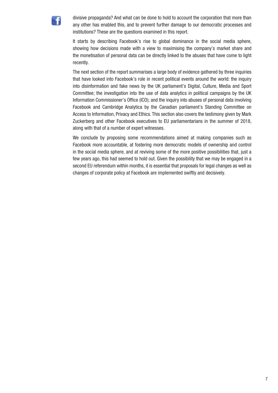

divisive propaganda? And what can be done to hold to account the corporation that more than any other has enabled this, and to prevent further damage to our democratic processes and institutions? These are the questions examined in this report.

It starts by describing Facebook's rise to global dominance in the social media sphere, showing how decisions made with a view to maximising the company's market share and the monetisation of personal data can be directly linked to the abuses that have come to light recently.

The next section of the report summarises a large body of evidence gathered by three inquiries that have looked into Facebook's role in recent political events around the world: the inquiry into disinformation and fake news by the UK parliament's Digital, Culture, Media and Sport Committee; the investigation into the use of data analytics in political campaigns by the UK Information Commissioner's Office (ICO); and the inquiry into abuses of personal data involving Facebook and Cambridge Analytica by the Canadian parliament's Standing Committee on Access to Information, Privacy and Ethics. This section also covers the testimony given by Mark Zuckerberg and other Facebook executives to EU parliamentarians in the summer of 2018, along with that of a number of expert witnesses.

We conclude by proposing some recommendations aimed at making companies such as Facebook more accountable, at fostering more democratic models of ownership and control in the social media sphere, and at reviving some of the more positive possibilities that, just a few years ago, this had seemed to hold out. Given the possibility that we may be engaged in a second EU referendum within months, it is essential that proposals for legal changes as well as changes of corporate policy at Facebook are implemented swiftly and decisively.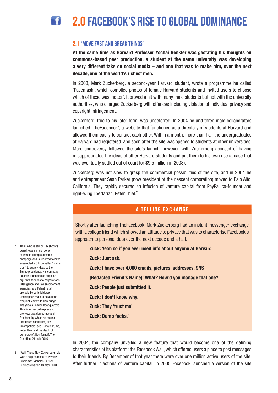## 2.0 Facebook's rise to global dominance

#### 2.1 'Move fast and break things'

At the same time as Harvard Professor Yochai Benkler was gestating his thoughts on commons-based peer production, a student at the same university was developing a very different take on social media – and one that was to make him, over the next decade, one of the world's richest men.

In 2003, Mark Zuckerberg, a second-year Harvard student, wrote a programme he called 'Facemash', which compiled photos of female Harvard students and invited users to choose which of these was 'hotter'. It proved a hit with many male students but not with the university authorities, who charged Zuckerberg with offences including violation of individual privacy and copyright infringement.

Zuckerberg, true to his later form, was undeterred. In 2004 he and three male collaborators launched 'TheFacebook', a website that functioned as a directory of students at Harvard and allowed them easily to contact each other. Within a month, more than half the undergraduates at Harvard had registered, and soon after the site was opened to students at other universities. More controversy followed the site's launch, however, with Zuckerberg accused of having misappropriated the ideas of other Harvard students and put them to his own use (a case that was eventually settled out of court for \$9.5 million in 2008).

Zuckerberg was not slow to grasp the commercial possibilities of the site, and in 2004 he and entrepreneur Sean Parker (now president of the nascent corporation) moved to Palo Alto, California. They rapidly secured an infusion of venture capital from PayPal co-founder and right-wing libertarian, Peter Thiel.7

#### A TELLING EXCHANGE

Shortly after launching TheFacebook, Mark Zuckerberg had an instant messenger exchange with a college friend which showed an attitude to privacy that was to characterise Facebook's approach to personal data over the next decade and a half.

Zuck: Yeah so if you ever need info about anyone at Harvard Zuck: Just ask. Zuck: I have over 4,000 emails, pictures, addresses, SNS [Redacted Friend's Name]: What? How'd you manage that one? Zuck: People just submitted it. Zuck: I don't know why. Zuck: They 'trust me'

Zuck: Dumb fucks.8

In 2004, the company unveiled a new feature that would become one of the defining characteristics of its platform: the Facebook Wall, which offered users a place to post messages to their friends. By December of that year there were over one million active users of the site. After further injections of venture capital, in 2005 Facebook launched a version of the site

7 Thiel, who is still on Facebook's board, was a major donor to Donald Trump's election campaign and is reported to have assembled a Silicon Valley 'brains trust' to supply ideas to the Trump presidency. His company Palantir Technologies supplies big-data services to corporations, intelligence and law enforcement agencies, and Palantir staff are said by whistleblower Christopher Wylie to have been frequent visitors to Cambridge Analytica's London headquarters. Thiel is on record expressing the view that democracy and freedom (by which he means unfettered capitalism) are incompatible; see 'Donald Trump, Peter Thiel and the death of democracy', Ben Tarnoff, The Guardian, 21 July 2016.

8 'Well, These New Zuckerberg IMs Won't Help Facebook's Privacy Problems', Nicholas Carlson, Business Insider, 13 May 2010.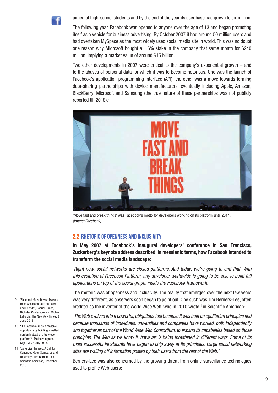

aimed at high-school students and by the end of the year its user base had grown to six million.

The following year, Facebook was opened to anyone over the age of 13 and began promoting itself as a vehicle for business advertising. By October 2007 it had around 50 million users and had overtaken MySpace as the most widely used social media site in world. This was no doubt one reason why Microsoft bought a 1.6% stake in the company that same month for \$240 million, implying a market value of around \$15 billion.

Two other developments in 2007 were critical to the company's exponential growth – and to the abuses of personal data for which it was to become notorious. One was the launch of Facebook's application programming interface (API); the other was a move towards forming data-sharing partnerships with device manufacturers, eventually including Apple, Amazon, BlackBerry, Microsoft and Samsung (the true nature of these partnerships was not publicly reported till 2018).<sup>9</sup>



'Move fast and break things' was Facebook's motto for developers working on its platform until 2014. *(Image: Facebook)*

#### 2.2 Rhetoric of openness and inclusivity

In May 2007 at Facebook's inaugural developers' conference in San Francisco, Zuckerberg's keynote address described, in messianic terms, how Facebook intended to transform the social media landscape:

*'Right now, social networks are closed platforms. And today, we're going to end that. With this evolution of Facebook Platform, any developer worldwide is going to be able to build full applications on top of the social graph, inside the Facebook framework.*' 10

The rhetoric was of openness and inclusivity. The reality that emerged over the next few years was very different, as observers soon began to point out. One such was Tim Berners-Lee, often credited as the inventor of the World Wide Web, who in 2010 wrote11 in Scientific American:

*'The Web evolved into a powerful, ubiquitous tool because it was built on egalitarian principles and because thousands of individuals, universities and companies have worked, both independently and together as part of the World Wide Web Consortium, to expand its capabilities based on those principles. The Web as we know it, however, is being threatened in different ways. Some of its most successful inhabitants have begun to chip away at its principles. Large social networking sites are walling off information posted by their users from the rest of the Web.'*

Berners-Lee was also concerned by the growing threat from online surveillance technologies used to profile Web users:

- 9 'Facebook Gave Device Makers Deep Access to Data on Users and Friends', Gabriel Dance, Nicholas Confessore and Michael LaForcia, The New York Times, 3 June 2018
- 10 'Did Facebook miss a massive opportunity by building a walled garden instead of a truly open platform?', Mathew Ingram, GigaOM, 24 July 2013.
- 11 'Long Live the Web: A Call for Continued Open Standards and Neutrality', Tim Berners-Lee Scientific American, December 2010.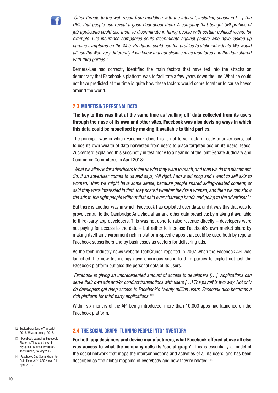

*'Other threats to the web result from meddling with the Internet, including snooping […] The*  URIs that people use reveal a good deal about them. A company that bought URI profiles of *job applicants could use them to discriminate in hiring people with certain political views, for example. Life insurance companies could discriminate against people who have looked up cardiac symptoms on the Web. Predators could use the profiles to stalk individuals. We would all use the Web very differently if we knew that our clicks can be monitored and the data shared with third parties.'* 

Berners-Lee had correctly identified the main factors that have fed into the attacks on democracy that Facebook's platform was to facilitate a few years down the line. What he could not have predicted at the time is quite how these factors would come together to cause havoc around the world.

#### 2.3 Monetising personal data

The key to this was that at the same time as 'walling off' data collected from its users through their use of its own and other sites, Facebook was also devising ways in which this data could be monetised by making it available to third parties.

The principal way in which Facebook does this is not to sell data directly to advertisers, but to use its own wealth of data harvested from users to place targeted ads on its users' feeds. Zuckerberg explained this succinctly in testimony to a hearing of the joint Senate Judiciary and Commerce Committees in April 2018:

*'What we allow is for advertisers to tell us who they want to reach, and then we do the placement. So, if an advertiser comes to us and says, 'All right, I am a ski shop and I want to sell skis to women,' then we might have some sense, because people shared skiing-related content, or said they were interested in that, they shared whether they're a woman, and then we can show the ads to the right people without that data ever changing hands and going to the advertiser.'*<sup>12</sup>

But there is another way in which Facebook has exploited user data, and it was this that was to prove central to the Cambridge Analytica affair and other data breaches: by making it available to third-party app developers. This was not done to raise revenue directly – developers were not paying for access to the data – but rather to increase Facebook's own market share by making itself an environment rich in platform-specific apps that could be used both by regular Facebook subscribers and by businesses as vectors for delivering ads.

As the tech-industry news website TechCrunch reported in 2007 when the Facebook API was launched, the new technology gave enormous scope to third parties to exploit not just the Facebook platform but also the personal data of its users:

*'Facebook is giving an unprecedented amount of access to developers […] Applications can serve their own ads and/or conduct transactions with users […] The payoff is two way. Not only do developers get deep access to Facebook's twenty million users, Facebook also becomes a rich platform for third party applications.'*<sup>13</sup>

Within six months of the API being introduced, more than 10,000 apps had launched on the Facebook platform.

- 12 Zuckerberg Senate Transcript 2018, Wikisource.org, 2018.
- 13 'Facebook Launches Facebook Platform; They are the Anti-MySpace', Michael Arrington, TechCrunch, 24 May 2007.
- 14 'Facebook: One Social Graph to Rule Them All?', CBS News, 21 April 2010.

#### 2.4 The social graph: turning people into 'inventory'

For both app designers and device manufacturers, what Facebook offered above all else was access to what the company calls its 'social graph'. This is essentially a model of the social network that maps the interconnections and activities of all its users, and has been described as 'the global mapping of everybody and how they're related'.14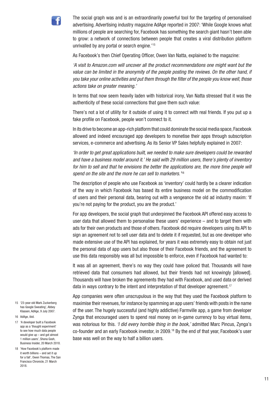

The social graph was and is an extraordinarily powerful tool for the targeting of personalised advertising. Advertising industry magazine AdAge reported in 2007: 'While Google knows what millions of people are searching for, Facebook has something the search giant hasn't been able to grow: a network of connections between people that creates a viral distribution platform unrivalled by any portal or search engine.'15

As Facebook's then Chief Operating Officer, Owen Van Natta, explained to the magazine:

*'A visit to Amazon.com will uncover all the product recommendations one might want but the value can be limited in the anonymity of the people posting the reviews. On the other hand, if you take your online activities and put them through the filter of the people you know well, those actions take on greater meaning.'*

In terms that now seem heavily laden with historical irony, Van Natta stressed that it was the authenticity of these social connections that gave them such value:

There's not a lot of utility for it outside of using it to connect with real friends. If you put up a fake profile on Facebook, people won't connect to it.

In its drive to become an app-rich platform that could dominate the social media space, Facebook allowed and indeed encouraged app developers to monetise their apps through subscription services, e-commerce and advertising. As its Senior VP Sales helpfully explained in 2007:

*'In order to get great applications built, we needed to make sure developers could be rewarded and have a business model around it.' He said with 29 million users, there's plenty of inventory*  for him to sell and that he envisions the better the applications are, the more time people will *spend on the site and the more he can sell to marketers.'*<sup>16</sup>

The description of people who use Facebook as 'inventory' could hardly be a clearer indication of the way in which Facebook has based its entire business model on the commodification of users and their personal data, bearing out with a vengeance the old ad industry maxim: 'If you're not paying for the product, you are the product.'

For app developers, the social graph that underpinned the Facebook API offered easy access to user data that allowed them to personalise these users' experience – and to target them with ads for their own products and those of others. Facebook did require developers using its API to sign an agreement not to sell user data and to delete it if requested, but as one developer who made extensive use of the API has explained, for years it was extremely easy to obtain not just the personal data of app users but also those of their Facebook friends, and the agreement to use this data responsibly was all but impossible to enforce, even if Facebook had wanted to:

It was all an agreement, there's no way they could have policed that. Thousands will have retrieved data that consumers had allowed, but their friends had not knowingly [allowed]. Thousands will have broken the agreements they had with Facebook, and used data or derived data in ways contrary to the intent and interpretation of that developer agreement.<sup>17</sup>

App companies were often unscrupulous in the way that they used the Facebook platform to maximise their revenues, for instance by spamming an app users' friends with posts in the name of the user. The hugely successful (and highly addictive) Farmville app, a game from developer Zynga that encouraged users to spend real money on in-game currency to buy virtual items, was notorious for this. *'I did every horrible thing in the book,'* admitted Marc Pincus, Zynga's co-founder and an early Facebook investor, in 2009.18 By the end of that year, Facebook's user base was well on the way to half a billion users.

- 15 '23-year-old Mark Zuckerberg has Google Sweating', Abbey Klaasen, AdAge, 9 July 2007.
- 16 AdAge, ibid.
- 17 'A developer built a Facebook app as a 'thought experiment' to see how much data people would give up – and got almost 1 million users', Shona Gosh, Business Insider, 20 March 2018.
- 18 'How Facebook's platform made it worth billions – and set it up for a fall', Owen Thomas, The San Francisco Chronicle, 21 March 2018.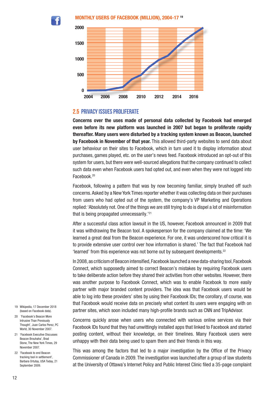

#### MONTHLY USERS OF FACEBOOK (MILLION), 2004-17 19



#### 2.5 Privacy issues proliferate

Concerns over the uses made of personal data collected by Facebook had emerged even before its new platform was launched in 2007 but began to proliferate rapidly thereafter. Many users were disturbed by a tracking system known as Beacon, launched by Facebook in November of that year. This allowed third-party websites to send data about user behaviour on their sites to Facebook, which in turn used it to display information about purchases, games played, etc. on the user's news feed. Facebook introduced an opt-out of this system for users, but there were well-sourced allegations that the company continued to collect such data even when Facebook users had opted out, and even when they were not logged into Facebook.<sup>20</sup>

Facebook, following a pattern that was by now becoming familiar, simply brushed off such concerns. Asked by a New York Times reporter whether it was collecting data on their purchases from users who had opted out of the system, the company's VP Marketing and Operations replied: 'Absolutely not. One of the things we are still trying to do is dispel a lot of misinformation that is being propagated unnecessarily.'21

After a successful class action lawsuit in the US, however, Facebook announced in 2009 that it was withdrawing the Beacon tool. A spokesperson for the company claimed at the time: 'We learned a great deal from the Beacon experience. For one, it was underscored how critical it is to provide extensive user control over how information is shared.' The fact that Facebook had 'learned' from this experience was not borne out by subsequent developments.22

In 2008, as criticism of Beacon intensified, Facebook launched a new data-sharing tool, Facebook Connect, which supposedly aimed to correct Beacon's mistakes by requiring Facebook users to take deliberate action before they shared their activities from other websites. However, there was another purpose to Facebook Connect, which was to enable Facebook to more easily partner with major branded content providers. The idea was that Facebook users would be able to log into these providers' sites by using their Facebook IDs; the corollary, of course, was that Facebook would receive data on precisely what content its users were engaging with on partner sites, which soon included many high-profile brands such as CNN and TripAdvisor.

Concerns quickly arose when users who connected with various online services via their Facebook IDs found that they had unwittingly installed apps that linked to Facebook and started posting content, without their knowledge, on their timelines. Many Facebook users were unhappy with their data being used to spam them and their friends in this way.

This was among the factors that led to a major investigation by the Office of the Privacy Commissioner of Canada in 2009. The investigation was launched after a group of law students at the University of Ottawa's Internet Policy and Public Interest Clinic filed a 35-page complaint

- 19 Wikipedia, 17 December 2018 (based on Facebook data).
- 20 'Facebook's Beacon More Intrusive Than Previously Thought', Juan Carlos Perez, PC World, 30 November 2007.
- 21 'Facebook Executive Discusses Beacon Brouhaha', Brad Stone, The New York Times, 29 November 2007.
- 22 'Facebook to end Beacon tracking tool in settlement', Barbara Ortutay, USA Today, 21 September 2009.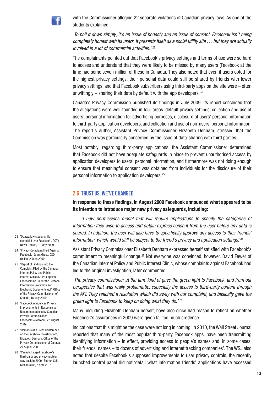

with the Commissioner alleging 22 separate violations of Canadian privacy laws. As one of the students explained:

*'To boil it down simply, it's an issue of honesty and an issue of consent. Facebook isn't being completely honest with its users. It presents itself as a social utility site . . . but they are actually involved in a lot of commercial activities.'* <sup>23</sup>

The complainants pointed out that Facebook's privacy settings and terms of use were so hard to access and understand that they were likely to be missed by many users (Facebook at the time had some seven million of these in Canada). They also noted that even if users opted for the highest privacy settings, their personal data could still be shared by friends with lower privacy settings, and that Facebook subscribers using third-party apps on the site were – often unwittingly – sharing their data by default with the app developers.  $24$ 

Canada's Privacy Commission published its findings in July 2009. Its report concluded that the allegations were well-founded in four areas: default privacy settings, collection and use of users' personal information for advertising purposes, disclosure of users' personal information to third-party application developers, and collection and use of non-users' personal information. The report's author, Assistant Privacy Commissioner Elizabeth Denham, stressed that the Commission was particularly concerned by the issue of data-sharing with third parties:

Most notably, regarding third-party applications, the Assistant Commissioner determined that Facebook did not have adequate safeguards in place to prevent unauthorised access by application developers to users' personal information, and furthermore was not doing enough to ensure that meaningful consent was obtained from individuals for the disclosure of their personal information to application developers.25

#### 2.6 Trust us, we've changed

In response to these findings, in August 2009 Facebook announced what appeared to be its intention to introduce major new privacy safeguards, including:

*'… a new permissions model that will require applications to specify the categories of information they wish to access and obtain express consent from the user before any data is shared. In addition, the user will also have to specifically approve any access to their friends'*  information, which would still be subject to the friend's privacy and application settings.<sup>'26</sup>

Assistant Privacy Commissioner Elizabeth Denham expressed herself satisfied with Facebook's commitment to meaningful change.<sup>27</sup> Not everyone was convinced, however. David Fewer of the Canadian Internet Policy and Public Interest Clinic, whose complaints against Facebook had led to the original investigation, later commented:

*'The privacy commissioner at the time kind of gave the green light to Facebook, and from our perspective that was really problematic, especially the access to third-party content through the API. They reached a resolution which did away with our complaint, and basically gave the green light to Facebook to keep on doing what they do.'* <sup>28</sup>

Many, including Elizabeth Denham herself, have also since had reason to reflect on whether Facebook's assurances in 2009 were given far too much credence.

Indications that this might be the case were not long in coming. In 2010, the Wall Street Journal reported that many of the most popular third-party Facebook apps 'have been transmitting identifying information – in effect, providing access to people's names and, in some cases, their friends' names – to dozens of advertising and Internet tracking companies'. The WSJ also noted that despite Facebook's supposed improvements to user privacy controls, the recently launched control panel did not 'detail what information friends' applications have accessed

- 23 'Ottawa law students file complaint over Facebook', CCTV News Ottawa, 31 May 2009.
- 24 'Privacy Complaint Filed Against Facebook', Grant Gross, CSO Online, 2 June 2009.
- 25 'Report of Findings into the Complaint Filed by the Canadian Internet Policy and Public Interest Clinic (CIPPIC) against Facebook Inc. under the Personal Information Protection and Electronic Documents Act', Office of the Privacy Commissioner of Canada, 16 July 2009.
- 26 'Facebook Announces Privacy Improvements in Response to Recommendations by Canadian Privacy Commissioner', Facebook Newsroom, 27 August 2009.
- 27 'Remarks at a Press Conference on the Facebook Investigation', Elizabeth Denham, Office of the Privacy Commissioner of Canada, 27 August 2009.
- 28 'Canada flagged Facebook's third-party app privacy problem way back in 2009', Patrick Cain, Global News, 5 April 2018.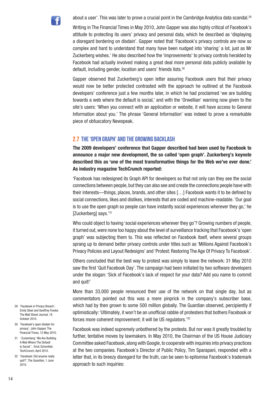

about a user'. This was later to prove a crucial point in the Cambridge Analytica data scandal.<sup>29</sup>

Writing in The Financial Times in May 2010, John Gapper was also highly critical of Facebook's attitude to protecting its users' privacy and personal data, which he described as 'displaying a disregard bordering on disdain'. Gapper noted that 'Facebook's privacy controls are now so complex and hard to understand that many have been nudged into 'sharing' a lot, just as Mr Zuckerberg wishes.' He also described how the 'improvements' to privacy controls heralded by Facebook had actually involved making a great deal more personal data publicly available by default, including gender, location and users' friends lists.<sup>30</sup>

Gapper observed that Zuckerberg's open letter assuring Facebook users that their privacy would now be better protected contrasted with the approach he outlined at the Facebook developers' conference just a few months later, in which he had proclaimed 'we are building towards a web where the default is social,' and with the 'Orwellian' warning now given to the site's users: 'When you connect with an application or website, it will have access to General Information about you.' The phrase 'General Information' was indeed to prove a remarkable piece of obfuscatory Newspeak.

#### 2.7 The 'open graph' and the growing backlash

The 2009 developers' conference that Gapper described had been used by Facebook to announce a major new development, the so called 'open graph'. Zuckerberg's keynote described this as 'one of the most transformative things for the Web we've ever done.' As industry magazine TechCrunch reported:

'Facebook has redesigned its Graph API for developers so that not only can they see the social connections between people, but they can also see and create the connections people have with their interests—things, places, brands, and other sites […] Facebook wants it to be defined by social connections, likes and dislikes, interests that are coded and machine-readable. 'Our goal is to use the open graph so people can have instantly social experiences wherever they go,' he [Zuckerberg] says.'31

Who could object to having 'social experiences wherever they go'? Growing numbers of people, it turned out, were none too happy about the level of surveillance tracking that Facebook's 'open graph' was subjecting them to. This was reflected on Facebook itself, where several groups sprang up to demand better privacy controls under titles such as 'Millions Against Facebook's Privacy Policies and Layout Redesigns' and 'Protest: Restoring The Age Of Privacy To Facebook'.

Others concluded that the best way to protest was simply to leave the network: 31 May 2010 saw the first 'Quit Facebook Day'. The campaign had been initiated by two software developers under the slogan: 'Sick of Facebook's lack of respect for your data? Add you name to commit and quit!'

More than 33,000 people renounced their use of the network on that single day, but as commentators pointed out this was a mere pinprick in the company's subscriber base, which had by then grown to some 500 million globally. The Guardian observed, percipiently if optimistically: 'Ultimately, it won't be an unofficial rabble of protesters that bothers Facebook or forces more coherent improvement; it will be US regulators.'32

Facebook was indeed supremely unbothered by the protests. But nor was it greatly troubled by further, tentative moves by lawmakers. In May 2010, the Chairman of the US House Judiciary Committee asked Facebook, along with Google, to cooperate with inquiries into privacy practices at the two companies. Facebook's Director of Public Policy, Tim Sparapani, responded with a letter that, in its breezy disregard for the truth, can be seen to epitomise Facebook's trademark approach to such inquiries:

- 29 'Facebook in Privacy Breach', Emily Steel and Geoffrey Fowler, The Wall Street Journal, 18 October 2010.
- 30 'Facebook's open disdain for privacy', John Gapper, The Financial Times, 12 May 2010.
- 31 'Zuckerberg: 'We Are Building A Web Where The Default Is Social'', Erick Schonfeld, TechCrunch, April 2010.
- 32 'Facebook: Did anyone really quit?', The Guardian, 1 June 2010.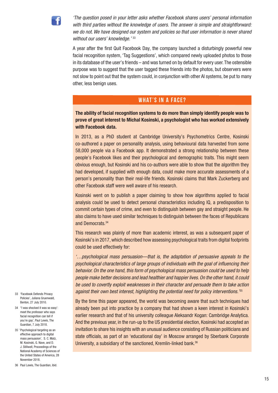

*'The question posed in your letter asks whether Facebook shares users' personal information with third parties without the knowledge of users. The answer is simple and straightforward: we do not. We have designed our system and policies so that user information is never shared without our users' knowledge.'* <sup>33</sup>

A year after the first Quit Facebook Day, the company launched a disturbingly powerful new facial recognition system, 'Tag Suggestions', which compared newly uploaded photos to those in its database of the user's friends – and was turned on by default for every user. The ostensible purpose was to suggest that the user tagged these friends into the photos, but observers were not slow to point out that the system could, in conjunction with other AI systems, be put to many other, less benign uses.

#### What's in a face?

The ability of facial recognition systems to do more than simply identify people was to prove of great interest to Michal Kosinski, a psychologist who has worked extensively with Facebook data.

In 2013, as a PhD student at Cambridge University's Psychometrics Centre, Kosinski co-authored a paper on personality analysis, using behavioural data harvested from some 58,000 people via a Facebook app. It demonstrated a strong relationship between these people's Facebook likes and their psychological and demographic traits. This might seem obvious enough, but Kosinski and his co-authors were able to show that the algorithm they had developed, if supplied with enough data, could make more accurate assessments of a person's personality than their real-life friends. Kosinski claims that Mark Zuckerberg and other Facebook staff were well aware of his research.

Kosinski went on to publish a paper claiming to show how algorithms applied to facial analysis could be used to detect personal characteristics including IQ, a predisposition to commit certain types of crime, and even to distinguish between gay and straight people. He also claims to have used similar techniques to distinguish between the faces of Republicans and Democrats.34

This research was plainly of more than academic interest, as was a subsequent paper of Kosinski's in 2017, which described how assessing psychological traits from digital footprints could be used effectively for:

*'…psychological mass persuasion—that is, the adaptation of persuasive appeals to the psychological characteristics of large groups of individuals with the goal of influencing their behavior. On the one hand, this form of psychological mass persuasion could be used to help people make better decisions and lead healthier and happier lives. On the other hand, it could be used to covertly exploit weaknesses in their character and persuade them to take action against their own best interest, highlighting the potential need for policy interventions.'*<sup>35</sup>

By the time this paper appeared, the world was becoming aware that such techniques had already been put into practice by a company that had shown a keen interest in Kosinski's earlier research and that of his university colleague Aleksandr Kogan: Cambridge Analytica. And the previous year, in the run-up to the US presidential election, Kosinski had accepted an invitation to share his insights with an unusual audience consisting of Russian politicians and state officials, as part of an 'educational day' in Moscow arranged by Sberbank Corporate University, a subsidiary of the sanctioned, Kremlin-linked bank.<sup>36</sup>

- 33 'Facebook Defends Privacy Policies', Juliana Gruenwald, Benton, 27 July 2010.
- 34 ''I was shocked it was so easy': meet the professor who says facial recognition can tell if you're gay', Paul Lewis, The Guardian, 7 July 2018.
- 35 ' Psychological targeting as an effective approach to digital mass persuasion', S. C. Matz, M. Kosinski, G. Nave, and D. J. Stillwell, Proceedings of the National Academy of Sciences of the United States of America, 28 November 2018.
- 36 Paul Lewis, The Guardian, ibid.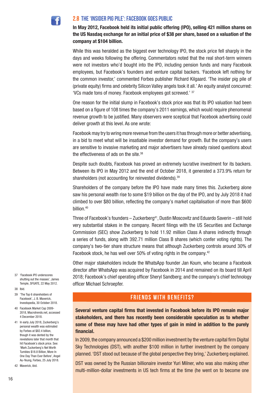

#### 2.8 The 'insider pig pile': Facebook goes public

In May 2012, Facebook held its initial public offering (IPO), selling 421 million shares on the US Nasdaq exchange for an initial price of \$38 per share, based on a valuation of the company at \$104 billion.

 (private equity) firms and celebrity Silicon Valley angels took it all.' An equity analyst concurred: While this was heralded as the biggest ever technology IPO, the stock price fell sharply in the days and weeks following the offering. Commentators noted that the real short-term winners were not investors who'd bought into the IPO, including pension funds and many Facebook employees, but Facebook's founders and venture capital backers. 'Facebook left nothing for the common investor,' commented Forbes publisher Richard Kilgaard. 'The insider pig pile of 'VCs made tons of money. Facebook employees got screwed.' 37

One reason for the initial slump in Facebook's stock price was that its IPO valuation had been based on a figure of 108 times the company's 2011 earnings, which would require phenomenal revenue growth to be justified. Many observers were sceptical that Facebook advertising could deliver growth at this level. As one wrote:

Facebook may try to wring more revenue from the users it has through more or better advertising, in a bid to meet what will be insatiable investor demand for growth. But the company's users are sensitive to invasive marketing and major advertisers have already raised questions about the effectiveness of ads on the site.38

Despite such doubts, Facebook has proved an extremely lucrative investment for its backers. Between its IPO in May 2012 and the end of October 2018, it generated a 373.9% return for shareholders (not accounting for reinvested dividends).<sup>39</sup>

Shareholders of the company before the IPO have made many times this. Zuckerberg alone saw his personal wealth rise to some \$19 billion on the day of the IPO, and by July 2018 it had climbed to over \$80 billion, reflecting the company's market capitalisation of more than \$600 billion.<sup>40</sup>

Three of Facebook's founders – Zuckerberg<sup>41</sup>, Dustin Moscovitz and Eduardo Saverin – still hold very substantial stakes in the company. Recent filings with the US Securities and Exchange Commission (SEC) show Zuckerberg to hold 11.92 million Class A shares indirectly through a series of funds, along with 392.71 million Class B shares (which confer voting rights). The company's two-tier share structure means that although Zuckerberg controls around 30% of Facebook stock, he has well over 50% of voting rights in the company.42

Other major stakeholders include the WhatsApp founder Jan Koum, who became a Facebook director after WhatsApp was acquired by Facebook in 2014 and remained on its board till April 2018; Facebook's chief operating officer Sheryl Sandberg; and the company's chief technology officer Michael Schroepfer.

#### FRIENDS WITH BENEFITS?

Several venture capital firms that invested in Facebook before its IPO remain major stakeholders, and there has recently been considerable speculation as to whether some of these may have had other types of gain in mind in addition to the purely financial.

In 2009, the company announced a \$200 million investment by the venture capital firm Digital Sky Technologies (DST), with another \$100 million in further investment by the company planned. 'DST stood out because of the global perspective they bring,' Zuckerberg explained.

DST was owned by the Russian billionaire investor Yuri Milner, who was also making other multi-million-dollar investments in US tech firms at the time (he went on to become one

- 37 'Facebook IPO underscores shutting out the masses', James Temple, SFGATE, 22 May 2012.
- 38 Ibid.
- 39 'The Top 6 shareholders of Facebook', J. B. Maverick, Investopedia, 30 October 2018.
- 40 Facebook Market Cap 2009- 2018, Macrotrends.net, accessed 4 December 2018.
- 41 In early July 2018, Zuckerberg's personal wealth was estimated by Forbes at \$82.4 billion, though it was dented by the revelations later that month that hit Facebook's stock price. See: 'Mark Zuckerberg's Net Worth Tumbles \$18.8 Billion, More In One Day Than Ever Before', Angel Au-Yeung, Forbes, 25 July 2018.
- 42 Maverick, ibid.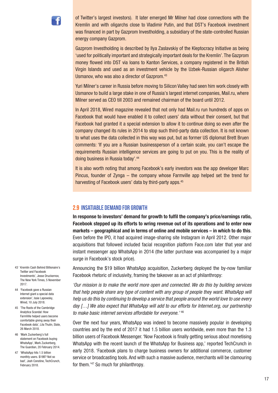

of Twitter's largest investors). It later emerged Mr Milner had close connections with the Kremlin and with oligarchs close to Vladimir Putin, and that DST's Facebook investment was financed in part by Gazprom Investholding, a subsidiary of the state-controlled Russian energy company Gazprom.

Gazprom Investholding is described by Ilya Zaslavskiy of the Kleptocracy Initiative as being 'used for politically important and strategically important deals for the Kremlin'. The Gazprom money flowed into DST via loans to Kanton Services, a company registered in the British Virgin Islands and used as an investment vehicle by the Uzbek-Russian oligarch Alisher Usmanov, who was also a director of Gazprom.<sup>43</sup>

Yuri Milner's career in Russia before moving to Silicon Valley had seen him work closely with Usmanov to build a large stake in one of Russia's largest internet companies, Mail.ru, where Milner served as CEO till 2003 and remained chairman of the board until 2012.

In April 2018, Wired magazine revealed that not only had Mail.ru run hundreds of apps on Facebook that would have enabled it to collect users' data without their consent, but that Facebook had granted it a special extension to allow it to continue doing so even after the company changed its rules in 2014 to stop such third-party data collection. It is not known to what uses the data collected in this way was put, but as former US diplomat Brett Bruen comments: 'If you are a Russian businessperson of a certain scale, you can't escape the requirements Russian intelligence services are going to put on you. This is the reality of doing business in Russia today'.44

It is also worth noting that among Facebook's early investors was the app developer Marc Pincus, founder of Zynga – the company whose Farmville app helped set the trend for harvesting of Facebook users' data by third-party apps.45

#### 2.9 Insatiable demand for growth

In response to investors' demand for growth to fulfil the company's price/earnings ratio, Facebook stepped up its efforts to wring revenue out of its operations and to enter new markets – geographical and in terms of online and mobile services – in which to do this. Even before the IPO, it had acquired image-sharing site Instagram in April 2012. Other major acquisitions that followed included facial recognition platform Face.com later that year and instant messenger app WhatsApp in 2014 (the latter purchase was accompanied by a major surge in Facebook's stock price).

Announcing the \$19 billion WhatsApp acquisition, Zuckerberg deployed the by-now familiar Facebook rhetoric of inclusivity, framing the takeover as an act of philanthropy:

*'Our mission is to make the world more open and connected. We do this by building services that help people share any type of content with any group of people they want. WhatsApp will help us do this by continuing to develop a service that people around the world love to use every day […] We also expect that WhatsApp will add to our efforts for Internet.org, our partnership to make basic internet services affordable for everyone.'* <sup>46</sup>

Over the next four years, WhatsApp was indeed to become massively popular in developing countries and by the end of 2017 it had 1.5 billion users worldwide, even more than the 1.3 billion users of Facebook Messenger. 'Now Facebook is finally getting serious about monetising WhatsApp with the recent launch of the WhatsApp for Business app,' reported TechCrunch in early 2018. 'Facebook plans to charge business owners for additional commerce, customer service or broadcasting tools. And with such a massive audience, merchants will be clamouring for them.'47 So much for philanthropy.

- 43 ' Kremlin Cash Behind Billionaire's Twitter and Facebook Investments', Jesse Druckernov, The New York Times, 5 November 2017.
- 44 'Facebook gave a Russian Internet giant a special data extension', Issie Lapowsky, Wired, 10 July 2018.
- 45 'The Roots of the Cambridge Analytica Scandal: How FarmVille helped users become comfortable giving away their Facebook data', Lila Thulin, Slate, 26 March 2018.
- 46 'Mark Zuckerberg's full statement on Facebook buying WhatsApp', Mark Zuckerberg, The Guardian, 20 February 2014.
- 47 'WhatsApp hits 1.5 billion monthly users. \$19B? Not so bad', Josh Constine, TechCrunch, February 2018.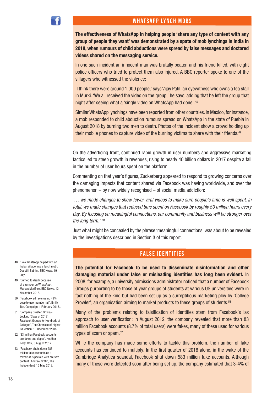

#### WhatsApp lynch mobs

The effectiveness of WhatsApp in helping people 'share any type of content with any group of people they want' was demonstrated by a spate of mob lynchings in India in 2018, when rumours of child abductions were spread by false messages and doctored videos shared on the messaging service.

In one such incident an innocent man was brutally beaten and his friend killed, with eight police officers who tried to protect them also injured. A BBC reporter spoke to one of the villagers who witnessed the violence:

'I think there were around 1,000 people,' says Vijay Patil, an eyewitness who owns a tea stall in Murki. 'We all received the video on the group,' he says, adding that he left the group that night after seeing what a 'single video on WhatsApp had done'.<sup>48</sup>

Similar WhatsApp lynchings have been reported from other countries. In Mexico, for instance, a mob responded to child abduction rumours spread on WhatsApp in the state of Puebla in August 2018 by burning two men to death. Photos of the incident show a crowd holding up their mobile phones to capture video of the burning victims to share with their friends.<sup>49</sup>

On the advertising front, continued rapid growth in user numbers and aggressive marketing tactics led to steep growth in revenues, rising to nearly 40 billion dollars in 2017 despite a fall in the number of user hours spent on the platform.

Commenting on that year's figures, Zuckerberg appeared to respond to growing concerns over the damaging impacts that content shared via Facebook was having worldwide, and over the phenomenon – by now widely recognised – of social media addiction:

*'… we made changes to show fewer viral videos to make sure people's time is well spent. In total, we made changes that reduced time spent on Facebook by roughly 50 million hours every day. By focusing on meaningful connections, our community and business will be stronger over the long term.'* <sup>50</sup>

Just what might be concealed by the phrase 'meaningful connections' was about to be revealed by the investigations described in Section 3 of this report.

### False identities

The potential for Facebook to be used to disseminate disinformation and other damaging material under false or misleading identities has long been evident. In 2008, for example, a university admissions administrator noticed that a number of Facebook Groups purporting to be those of year groups of students at various US universities were in fact nothing of the kind but had been set up as a surreptitious marketing ploy by 'College Prowler', an organisation aiming to market products to these groups of students.<sup>51</sup>

Many of the problems relating to falsification of identities stem from Facebook's lax approach to user verification: in August 2012, the company revealed that more than 83 million Facebook accounts (8.7% of total users) were fakes, many of these used for various types of scam or spam.<sup>52</sup>

While the company has made some efforts to tackle this problem, the number of fake accounts has continued to multiply. In the first quarter of 2018 alone, in the wake of the Cambridge Analytica scandal, Facebook shut down 583 million fake accounts. Although many of these were detected soon after being set up, the company estimated that 3-4% of

- 48 'How WhatsApp helped turn an Indian village into a lynch mob', Deepthi Bathini, BBC News, 19 July.
- 49 'Burned to death because of a rumour on WhatsApp', Marcos Martínez, BBC News, 12 November 2018.
- 50 'Facebook ad revenue up 49% despite user number fall', Emily Tan, Campaign, 1 February 2018,.
- 51 'Company Created Official-Looking 'Class of 2013' Facebook Groups for Hundreds of Colleges', The Chronicle of Higher Education, 19 December 2008.
- 52 '83 million Facebook accounts are fakes and dupes', Heather Kelly, CNN, 3 August 2012.
- 53 'Facebook shuts down 583 million fake accounts as it reveals it is packed with abusive content', Andrew Griffin, The Independent, 15 May 2018.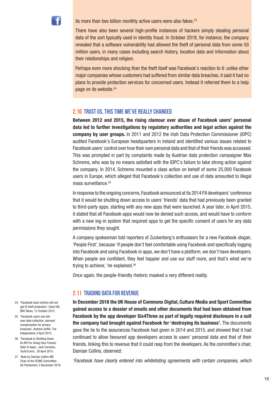

its more than two billion monthly active users were also fakes.<sup>53</sup>

There have also been several high-profile instances of hackers simply stealing personal data of the sort typically used in identity fraud. In October 2018, for instance, the company revealed that a software vulnerability had allowed the theft of personal data from some 50 million users, in many cases including search history, location data and information about their relationships and religion.

Perhaps even more shocking than the theft itself was Facebook's reaction to it: unlike other major companies whose customers had suffered from similar data breaches, it said it had no plans to provide protection services for concerned users. Instead it referred them to a help page on its website.<sup>54</sup>

#### 2.10 Trust us, this time we've really changed

Between 2012 and 2015, the rising clamour over abuse of Facebook users' personal data led to further investigations by regulatory authorities and legal action against the company by user groups. In 2011 and 2012 the Irish Data Protection Commissioner (IDPC) audited Facebook's European headquarters in Ireland and identified various issues related to Facebook users' control over how their own personal data and that of their friends was accessed. This was prompted in part by complaints made by Austrian data protection campaigner Max Schrems, who was by no means satisfied with the IDPC's failure to take strong action against the company. In 2014, Schrems mounted a class action on behalf of some 25,000 Facebook users in Europe, which alleged that Facebook's collection and use of data amounted to illegal mass surveillance.<sup>55</sup>

In response to the ongoing concerns, Facebook announced at its 2014 F8 developers' conference that it would be shutting down access to users' friends' data that had previously been granted to third-party apps, starting with any new apps that were launched. A year later, in April 2015, it stated that all Facebook apps would now be denied such access, and would have to conform with a new log-in system that required apps to get the specific consent of users for any data permissions they sought.

A company spokesman told reporters of Zuckerberg's enthusiasm for a new Facebook slogan, 'People First', because 'if people don't feel comfortable using Facebook and specifically logging into Facebook and using Facebook in apps, we don't have a platform, we don't have developers. When people are confident, they feel happier and use our stuff more, and that's what we're trying to achieve,' he explained.56

Once again, the people-friendly rhetoric masked a very different reality.

#### 2.11 Trading data for revenue

In December 2018 the UK House of Commons Digital, Culture Media and Sport Committee gained access to a dossier of emails and other documents that had been obtained from Facebook by the app developer Six4Three as part of legally required disclosure in a suit the company had brought against Facebook for 'destroying its business'. The documents gave the lie to the assurances Facebook had given in 2014 and 2015, and showed that it had continued to allow favoured app developers access to users' personal data and that of their friends, linking this to revenue that it could reap from the developers. As the committee's chair, Damian Collins, observed:

57 'Note by Damian Collins MP, Chair of the DCMS Committee', UK Parliament, 5 December 2018

54 'Facebook hack victims will not get ID theft protection', Dave Hill, BBC News, 12 October 2012. 55 'Facebook users sue site over data collection, demand compensation for privacy breaches', Andrew Griffin, The Independent, 9 April 2015. 56 'Facebook Is Shutting Down Its API For Giving Your Friends' Data To Anns', Josh Constine TechCrunch, 28 April 2015.

*'Facebook have clearly entered into whitelisting agreements with certain companies, which*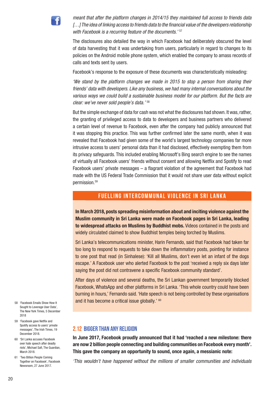

*meant that after the platform changes in 2014/15 they maintained full access to friends data […] The idea of linking access to friends data to the financial value of the developers relationship with Facebook is a recurring feature of the documents.'* <sup>57</sup>

The disclosures also detailed the way in which Facebook had deliberately obscured the level of data harvesting that it was undertaking from users, particularly in regard to changes to its policies on the Android mobile phone system, which enabled the company to amass records of calls and texts sent by users.

Facebook's response to the exposure of these documents was characteristically misleading:

*'We stand by the platform changes we made in 2015 to stop a person from sharing their friends' data with developers. Like any business, we had many internal conversations about the various ways we could build a sustainable business model for our platform. But the facts are clear: we've never sold people's data.'* <sup>58</sup>

But the simple exchange of data for cash was not what the disclosures had shown. It was, rather, the granting of privileged access to data to developers and business partners who delivered a certain level of revenue to Facebook, even after the company had publicly announced that it was stopping this practice. This was further confirmed later the same month, when it was revealed that Facebook had given some of the world's largest technology companies far more intrusive access to users' personal data than it had disclosed, effectively exempting them from its privacy safeguards. This included enabling Microsoft's Bing search engine to see the names of virtually all Facebook users' friends without consent and allowing Netflix and Spotify to read Facebook users' private messages – a flagrant violation of the agreement that Facebook had made with the US Federal Trade Commission that it would not share user data without explicit permission<sup>59</sup>

#### FUELLING INTERCOMMUNAL VIOLENCE IN SRI LANKA

In March 2018, posts spreading misinformation about and inciting violence against the Muslim community in Sri Lanka were made on Facebook pages in Sri Lanka, leading to widespread attacks on Muslims by Buddhist mobs. Videos contained in the posts and widely circulated claimed to show Buddhist temples being torched by Muslims.

Sri Lanka's telecommunications minister, Harin Fernando, said that Facebook had taken far too long to respond to requests to take down the inflammatory posts, pointing for instance to one post that read (in Sinhalese): 'Kill all Muslims, don't even let an infant of the dogs escape.' A Facebook user who alerted Facebook to the post 'received a reply six days later saying the post did not contravene a specific Facebook community standard'.

After days of violence and several deaths, the Sri Lankan government temporarily blocked Facebook, WhatsApp and other platforms in Sri Lanka. 'This whole country could have been burning in hours,' Fernando said. 'Hate speech is not being controlled by these organisations and it has become a critical issue globally.' 60

- Sought to Leverage User Data', The New York Times, 5 December 2018 59 'Facebook gave Netflix and
- Spotify access to users' private messages', The Irish Times, 19 December 2018.

58 'Facebook Emails Show How It

- 60 'Sri Lanka accuses Facebook over hate speech after deadly riots', Michael Safi, The Guardian, March 2018.
- 61 'Two Billion People Coming Together on Facebook', Facebook Newsroom, 27 June 2017.

#### 2.12 Bigger than any religion

In June 2017, Facebook proudly announced that it had 'reached a new milestone: there are now 2 billion people connecting and building communities on Facebook every month'. This gave the company an opportunity to sound, once again, a messianic note:

*'This wouldn't have happened without the millions of smaller communities and individuals*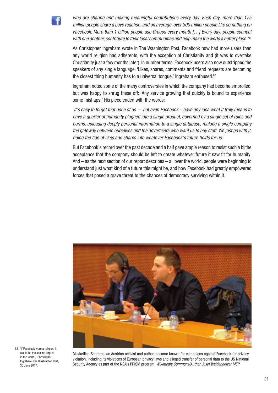

*who are sharing and making meaningful contributions every day. Each day, more than 175 million people share a Love reaction, and on average, over 800 million people like something on Facebook. More than 1 billion people use Groups every month […] Every day, people connect with one another, contribute to their local communities and help make the world a better place.'*<sup>61</sup>

As Christopher Ingraham wrote in The Washington Post, Facebook now had more users than any world religion had adherents, with the exception of Christianity and (it was to overtake Christianity just a few months later). In number terms, Facebook users also now outstripped the speakers of any single language. 'Likes, shares, comments and friend requests are becoming the closest thing humanity has to a universal tongue,' Ingraham enthused.<sup>62</sup>

Ingraham noted some of the many controversies in which the company had become embroiled, but was happy to shrug these off: 'Any service growing that quickly is bound to experience some mishaps.' His piece ended with the words:

*'It's easy to forget that none of us – not even Facebook – have any idea what it truly means to*  have a quarter of humanity plugged into a single product, governed by a single set of rules and *norms, uploading deeply personal information to a single database, making a single company the gateway between ourselves and the advertisers who want us to buy stuff. We just go with it, riding the tide of likes and shares into whatever Facebook's future holds for us.'*

But Facebook's record over the past decade and a half gave ample reason to resist such a blithe acceptance that the company should be left to create whatever future it saw fit for humanity. And – as the next section of our report describes – all over the world, people were beginning to understand just what kind of a future this might be, and how Facebook had greatly empowered forces that posed a grave threat to the chances of democracy surviving within it.



62 'If Facebook were a religion, it would be the second largest in the world', Christopher Ingraham, The Washington Post, 30 June 2017.

Maximilian Schrems, an Austrian activist and author, became known for campaigns against Facebook for privacy violation, including its violations of European privacy laws and alleged transfer of personal data to the US National Security Agency as part of the NSA's PRISM program. *Wikimedia Commons/Author Josef Weidenholzer MEP*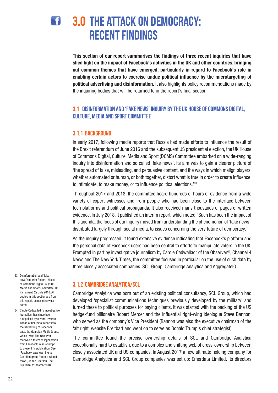

This section of our report summarises the findings of three recent inquiries that have shed light on the impact of Facebook's activities in the UK and other countries, bringing out common themes that have emerged, particularly in regard to Facebook's role in enabling certain actors to exercise undue political influence by the microtargeting of political advertising and disinformation. It also highlights policy recommendations made by the inquiring bodies that will be returned to in the report's final section.

#### 3.1 Disinformation and 'fake news' inquiry by the UK House of Commons Digital, Culture, Media and Sport Committee

#### 3.1.1 Background

In early 2017, following media reports that Russia had made efforts to influence the result of the Brexit referendum of June 2016 and the subsequent US presidential election, the UK House of Commons Digital, Culture, Media and Sport (DCMS) Committee embarked on a wide-ranging inquiry into disinformation and so called 'fake news'. Its aim was to gain a clearer picture of 'the spread of false, misleading, and persuasive content, and the ways in which malign players, whether automated or human, or both together, distort what is true in order to create influence, to intimidate, to make money, or to influence political elections.'63

Throughout 2017 and 2018, the committee heard hundreds of hours of evidence from a wide variety of expert witnesses and from people who had been close to the interface between tech platforms and political propaganda. It also received many thousands of pages of written evidence. In July 2018, it published an interim report, which noted: 'Such has been the impact of this agenda, the focus of our inquiry moved from understanding the phenomenon of 'fake news', distributed largely through social media, to issues concerning the very future of democracy.'

As the inquiry progressed, it found extensive evidence indicating that Facebook's platform and the personal data of Facebook users had been central to efforts to manipulate voters in the UK. Prompted in part by investigative journalism by Carole Cadwalladr of the Observer<sup>64</sup>, Channel 4 News and The New York Times, the committee focused in particular on the use of such data by three closely associated companies: SCL Group, Cambridge Analytica and AggregateIQ.

#### 3.1.2 Cambridge Analytica/SCL

Cambridge Analytica was born out of an existing political consultancy, SCL Group, which had developed 'specialist communications techniques previously developed by the military' and turned these to political purposes for paying clients. It was started with the backing of the US hedge-fund billionaire Robert Mercer and the influential right-wing ideologue Steve Bannon, who served as the company's Vice President (Bannon was also the executive chairman of the 'alt right' website Breitbart and went on to serve as Donald Trump's chief strategist).

The committee found the precise ownership details of SCL and Cambridge Analytica exceptionally hard to establish, due to a complex and shifting web of cross-ownership between closely associated UK and US companies. In August 2017 a new ultimate holding company for Cambridge Analytica and SCL Group companies was set up: Emerdata Limited. Its directors

- 63 Disinformation and 'fake news': Interim Report, House of Commons Digital, Culture, Media and Sport Committee, UK Parliament, 29 July 2018. All quotes in this section are from this report, unless otherwise noted.
- 64 Carole Cadwalladr's investigative journalism has since been recognised by several awards. Ahead of her initial report into the harvesting of Facebook data, the Guardian Media Group, which owns The Observer received a threat of legal action from Facebook in an attempt to prevent its publication. See: 'Facebook says warning to Guardian group 'not our wisest move', Jamie Grierson, The Guardian, 23 March 2018.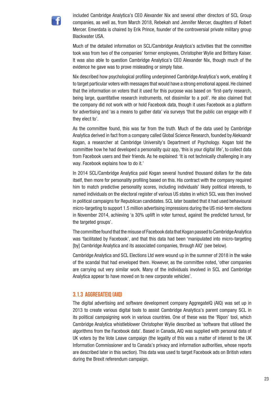

included Cambridge Analytica's CEO Alexander Nix and several other directors of SCL Group companies, as well as, from March 2018, Rebekah and Jennifer Mercer, daughters of Robert Mercer. Emerdata is chaired by Erik Prince, founder of the controversial private military group Blackwater USA.

Much of the detailed information on SCL/Cambridge Analytica's activities that the committee took was from two of the companies' former employees, Christopher Wylie and Brittany Kaiser. It was also able to question Cambridge Analytica's CEO Alexander Nix, though much of the evidence he gave was to prove misleading or simply false.

Nix described how psychological profiling underpinned Cambridge Analytica's work, enabling it to target particular voters with messages that would have a strong emotional appeal. He claimed that the information on voters that it used for this purpose was based on 'first-party research, being large, quantitative research instruments, not dissimilar to a poll'. He also claimed that the company did not work with or hold Facebook data, though it uses Facebook as a platform for advertising and 'as a means to gather data' via surveys 'that the public can engage with if they elect to'.

As the committee found, this was far from the truth. Much of the data used by Cambridge Analytica derived in fact from a company called Global Science Research, founded by Aleksandr Kogan, a researcher at Cambridge University's Department of Psychology. Kogan told the committee how he had developed a personality quiz app, 'this is your digital life', to collect data from Facebook users and their friends. As he explained: 'It is not technically challenging in any way. Facebook explains how to do it.'

In 2014 SCL/Cambridge Analytica paid Kogan several hundred thousand dollars for the data itself, then more for personality profiling based on this. His contract with the company required him to match predictive personality scores, including individuals' likely political interests, to named individuals on the electoral register of various US states in which SCL was then involved in political campaigns for Republican candidates. SCL later boasted that it had used behavioural micro-targeting to support 1.5 million advertising impressions during the US mid-term elections in November 2014, achieving 'a 30% uplift in voter turnout, against the predicted turnout, for the targeted groups'.

The committee found that the misuse of Facebook data that Kogan passed to Cambridge Analytica was 'facilitated by Facebook', and that this data had been 'manipulated into micro-targeting [by] Cambridge Analytica and its associated companies, through AIQ' (see below).

Cambridge Analytica and SCL Elections Ltd were wound up in the summer of 2018 in the wake of the scandal that had enveloped them. However, as the committee noted, 'other companies are carrying out very similar work. Many of the individuals involved in SCL and Cambridge Analytica appear to have moved on to new corporate vehicles'.

#### 3.1.3 AggregateIQ (AIQ)

The digital advertising and software development company AggregateIQ (AIQ) was set up in 2013 to create various digital tools to assist Cambridge Analytica's parent company SCL in its political campaigning work in various countries. One of these was the 'Ripon' tool, which Cambridge Analytica whistleblower Christopher Wylie described as 'software that utilised the algorithms from the Facebook data'. Based in Canada, AIQ was supplied with personal data of UK voters by the Vote Leave campaign (the legality of this was a matter of interest to the UK Information Commissioner and to Canada's privacy and information authorities, whose reports are described later in this section). This data was used to target Facebook ads on British voters during the Brexit referendum campaign.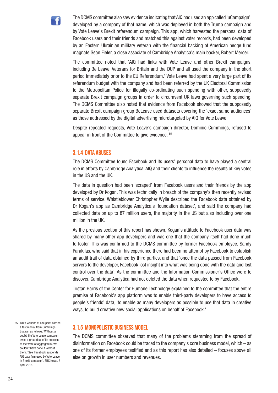

The DCMS committee also saw evidence indicating that AIQ had used an app called 'uCampaign', developed by a company of that name, which was deployed in both the Trump campaign and by Vote Leave's Brexit referendum campaign. This app, which harvested the personal data of Facebook users and their friends and matched this against voter records, had been developed by an Eastern Ukrainian military veteran with the financial backing of American hedge fund magnate Sean Fieler, a close associate of Cambridge Analytica's main backer, Robert Mercer.

The committee noted that 'AIQ had links with Vote Leave and other Brexit campaigns, including Be Leave, Veterans for Britain and the DUP and all used the company in the short period immediately prior to the EU Referendum.' Vote Leave had spent a very large part of its referendum budget with the company and had been referred by the UK Electoral Commission to the Metropolitan Police for illegally co-ordinating such spending with other, supposedly separate Brexit campaign groups in order to circumvent UK laws governing such spending. The DCMS Committee also noted that evidence from Facebook showed that the supposedly separate Brexit campaign group BeLeave used datasets covering the 'exact same audiences' as those addressed by the digital advertising microtargeted by AIQ for Vote Leave.

Despite repeated requests, Vote Leave's campaign director, Dominic Cummings, refused to appear in front of the Committee to give evidence. 65

#### 3.1.4 Data abuses

The DCMS Committee found Facebook and its users' personal data to have played a central role in efforts by Cambridge Analytica, AIQ and their clients to influence the results of key votes in the US and the UK.

The data in question had been 'scraped' from Facebook users and their friends by the app developed by Dr Kogan. This was technically in breach of the company's then recently revised terms of service. Whistleblower Christopher Wylie described the Facebook data obtained by Dr Kogan's app as Cambridge Analytica's 'foundation dataset', and said the company had collected data on up to 87 million users, the majority in the US but also including over one million in the UK.

As the previous section of this report has shown, Kogan's attitude to Facebook user data was shared by many other app developers and was one that the company itself had done much to foster. This was confirmed to the DCMS committee by former Facebook employee, Sandy Parakilas, who said that in his experience there had been no attempt by Facebook to establish an audit trail of data obtained by third parties, and that 'once the data passed from Facebook servers to the developer, Facebook lost insight into what was being done with the data and lost control over the data'. As the committee and the Information Commissioner's Office were to discover, Cambridge Analytica had not deleted the data when requested to by Facebook.

Tristan Harris of the Center for Humane Technology explained to the committee that the entire premise of Facebook's app platform was to enable third-party developers to have access to people's friends' data, 'to enable as many developers as possible to use that data in creative ways, to build creative new social applications on behalf of Facebook.'

65 AIQ's website at one point carried a testimonial from Cummings that ran as follows: 'Without a doubt, the Vote Leave campaign owes a great deal of its success to the work of AggregateIQ. We couldn't have done it without them.' See 'Facebook suspends AIQ data firm used by Vote Leave in Brexit campaign', BBC News, 7 April 2018.

#### 3.1.5 Monopolistic business model

The DCMS committee observed that many of the problems stemming from the spread of disinformation on Facebook could be traced to the company's core business model, which – as one of its former employees testified and as this report has also detailed – focuses above all else on growth in user numbers and revenues.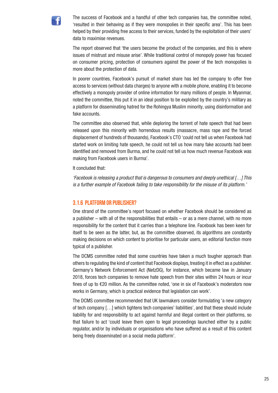

The success of Facebook and a handful of other tech companies has, the committee noted, 'resulted in their behaving as if they were monopolies in their specific area'. This has been helped by their providing free access to their services, funded by the exploitation of their users' data to maximise revenues.

The report observed that 'the users become the product of the companies, and this is where issues of mistrust and misuse arise'. While traditional control of monopoly power has focused on consumer pricing, protection of consumers against the power of the tech monopolies is more about the protection of data.

In poorer countries, Facebook's pursuit of market share has led the company to offer free access to services (without data charges) to anyone with a mobile phone, enabling it to become effectively a monopoly provider of online information for many millions of people. In Myanmar, noted the committee, this put it in an ideal position to be exploited by the country's military as a platform for disseminating hatred for the Rohingya Muslim minority, using disinformation and fake accounts.

The committee also observed that, while deploring the torrent of hate speech that had been released upon this minority with horrendous results (massacre, mass rape and the forced displacement of hundreds of thousands), Facebook's CTO 'could not tell us when Facebook had started work on limiting hate speech, he could not tell us how many fake accounts had been identified and removed from Burma, and he could not tell us how much revenue Facebook was making from Facebook users in Burma'.

It concluded that:

*'Facebook is releasing a product that is dangerous to consumers and deeply unethical […] This is a further example of Facebook failing to take responsibility for the misuse of its platform.'*

#### 3.1.6 Platform or publisher?

One strand of the committee's report focused on whether Facebook should be considered as a publisher – with all of the responsibilities that entails – or as a mere channel, with no more responsibility for the content that it carries than a telephone line. Facebook has been keen for itself to be seen as the latter, but, as the committee observed, its algorithms are constantly making decisions on which content to prioritise for particular users, an editorial function more typical of a publisher.

The DCMS committee noted that some countries have taken a much tougher approach than others to regulating the kind of content that Facebook displays, treating it in effect as a publisher. Germany's Network Enforcement Act (NetzDG), for instance, which became law in January 2018, forces tech companies to remove hate speech from their sites within 24 hours or incur fines of up to €20 million. As the committee noted, 'one in six of Facebook's moderators now works in Germany, which is practical evidence that legislation can work'.

The DCMS committee recommended that UK lawmakers consider formulating 'a new category of tech company […] which tightens tech companies' liabilities', and that these should include liability for and responsibility to act against harmful and illegal content on their platforms, so that failure to act 'could leave them open to legal proceedings launched either by a public regulator, and/or by individuals or organisations who have suffered as a result of this content being freely disseminated on a social media platform'.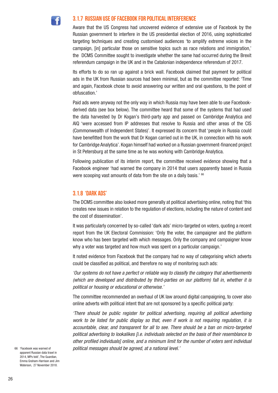

#### 3.1.7 Russian use of Facebook for political interference

Aware that the US Congress had uncovered evidence of extensive use of Facebook by the Russian government to interfere in the US presidential election of 2016, using sophisticated targeting techniques and creating customised audiences 'to amplify extreme voices in the campaign, [in] particular those on sensitive topics such as race relations and immigration,' the DCMS Committee sought to investigate whether the same had occurred during the Brexit referendum campaign in the UK and in the Catalonian independence referendum of 2017.

Its efforts to do so ran up against a brick wall. Facebook claimed that payment for political ads in the UK from Russian sources had been minimal, but as the committee reported: 'Time and again, Facebook chose to avoid answering our written and oral questions, to the point of obfuscation.'

Paid ads were anyway not the only way in which Russia may have been able to use Facebookderived data (see box below). The committee heard that some of the systems that had used the data harvested by Dr Kogan's third-party app and passed on Cambridge Analytica and AIQ 'were accessed from IP addresses that resolve to Russia and other areas of the CIS (Commonwealth of Independent States)'. It expressed its concern that 'people in Russia could have benefitted from the work that Dr Kogan carried out in the UK, in connection with his work for Cambridge Analytica'. Kogan himself had worked on a Russian government-financed project in St Petersburg at the same time as he was working with Cambridge Analytica.

Following publication of its interim report, the committee received evidence showing that a Facebook engineer 'had warned the company in 2014 that users apparently based in Russia were scooping vast amounts of data from the site on a daily basis.' <sup>66</sup>

#### 3.1.8 'Dark ads'

The DCMS committee also looked more generally at political advertising online, noting that 'this creates new issues in relation to the regulation of elections, including the nature of content and the cost of dissemination'.

It was particularly concerned by so-called 'dark ads' micro-targeted on voters, quoting a recent report from the UK Electoral Commission: 'Only the voter, the campaigner and the platform know who has been targeted with which messages. Only the company and campaigner know why a voter was targeted and how much was spent on a particular campaign.'

It noted evidence from Facebook that the company had no way of categorising which adverts could be classified as political, and therefore no way of monitoring such ads:

*'Our systems do not have a perfect or reliable way to classify the category that advertisements (which are developed and distributed by third-parties on our platform) fall in, whether it is political or housing or educational or otherwise.'*

The committee recommended an overhaul of UK law around digital campaigning, to cover also online adverts with political intent that are not sponsored by a specific political party:

*'There should be public register for political advertising, requiring all political advertising work to be listed for public display so that, even if work is not requiring regulation, it is accountable, clear, and transparent for all to see. There should be a ban on micro-targeted political advertising to lookalikes [i.e. individuals selected on the basis of their resemblance to other profiled individuals] online, and a minimum limit for the number of voters sent individual*  66 'Facebook was warned of *political messages should be agreed, at a national level.'*

apparent Russian data trawl in 2014, MPs told', The Guardian Emma Graham-Harrison and Jim Waterson, 27 November 2018.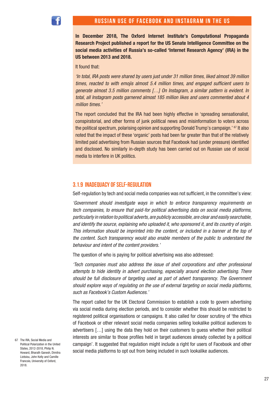In December 2018, The Oxford Internet Institute's Computational Propaganda Research Project published a report for the US Senate Intelligence Committee on the social media activities of Russia's so-called 'Internet Research Agency' (IRA) in the US between 2013 and 2018.

It found that:

*'In total, IRA posts were shared by users just under 31 million times, liked almost 39 million times, reacted to with emojis almost 5.4 million times, and engaged sufficient users to generate almost 3.5 million comments […] On Instagram, a similar pattern is evident. In total, all Instagram posts garnered almost 185 million likes and users commented about 4 million times.'* 

The report concluded that the IRA had been highly effective in 'spreading sensationalist, conspiratorial, and other forms of junk political news and misinformation to voters across the political spectrum, polarising opinion and supporting Donald Trump's campaign.' <sup>67</sup> It also noted that the impact of these 'organic' posts had been far greater than that of the relatively limited paid advertising from Russian sources that Facebook had (under pressure) identified and disclosed. No similarly in-depth study has been carried out on Russian use of social media to interfere in UK politics.

#### 3.1.9 Inadequacy of self-regulation

Self-regulation by tech and social media companies was not sufficient, in the committee's view:

*'Government should investigate ways in which to enforce transparency requirements on tech companies, to ensure that paid-for political advertising data on social media platforms, particularly in relation to political adverts, are publicly accessible, are clear and easily searchable, and identify the source, explaining who uploaded it, who sponsored it, and its country of origin. This information should be imprinted into the content, or included in a banner at the top of the content. Such transparency would also enable members of the public to understand the behaviour and intent of the content providers.'*

The question of who is paying for political advertising was also addressed:

*'Tech companies must also address the issue of shell corporations and other professional attempts to hide identity in advert purchasing, especially around election advertising. There should be full disclosure of targeting used as part of advert transparency. The Government should explore ways of regulating on the use of external targeting on social media platforms, such as Facebook's Custom Audiences.'* 

The report called for the UK Electoral Commission to establish a code to govern advertising via social media during election periods, and to consider whether this should be restricted to registered political organisations or campaigns. It also called for closer scrutiny of 'the ethics of Facebook or other relevant social media companies selling lookalike political audiences to advertisers […] using the data they hold on their customers to guess whether their political interests are similar to those profiles held in target audiences already collected by a political campaign'. It suggested that regulation might include a right for users of Facebook and other social media platforms to opt out from being included in such lookalike audiences.

<sup>67</sup> The IRA, Social Media and Political Polarization in the United States, 2012-2018, Philip N. Howard, Bharath Ganesh, Dimitra Liotsiou, John Kelly and Camille Francois, University of Oxford, 2018.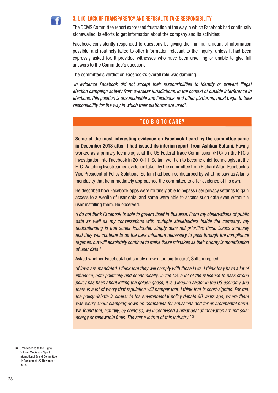

#### 3.1.10 Lack of transparency and refusal to take responsibility

The DCMS Committee report expressed frustration at the way in which Facebook had continually stonewalled its efforts to get information about the company and its activities:

Facebook consistently responded to questions by giving the minimal amount of information possible, and routinely failed to offer information relevant to the inquiry, unless it had been expressly asked for. It provided witnesses who have been unwilling or unable to give full answers to the Committee's questions.

The committee's verdict on Facebook's overall role was damning:

*'In evidence Facebook did not accept their responsibilities to identify or prevent illegal election campaign activity from overseas jurisdictions. In the context of outside interference in elections, this position is unsustainable and Facebook, and other platforms, must begin to take responsibility for the way in which their platforms are used'.*

#### TOO BIG TO CARE?

Some of the most interesting evidence on Facebook heard by the committee came in December 2018 after it had issued its interim report, from Ashkan Soltani. Having worked as a primary technologist at the US Federal Trade Commission (FTC) on the FTC's investigation into Facebook in 2010-11, Soltani went on to become chief technologist at the FTC. Watching livestreamed evidence taken by the committee from Richard Allan, Facebook's Vice President of Policy Solutions, Soltani had been so disturbed by what he saw as Allan's mendacity that he immediately approached the committee to offer evidence of his own.

He described how Facebook apps were routinely able to bypass user privacy settings to gain access to a wealth of user data, and some were able to access such data even without a user installing them. He observed:

*'I do not think Facebook is able to govern itself in this area. From my observations of public data as well as my conversations with multiple stakeholders inside the company, my understanding is that senior leadership simply does not prioritise these issues seriously and they will continue to do the bare minimum necessary to pass through the compliance regimes, but will absolutely continue to make these mistakes as their priority is monetisation of user data.'*

Asked whether Facebook had simply grown 'too big to care', Soltani replied:

*'If laws are mandated, I think that they will comply with those laws. I think they have a lot of influence, both politically and economically. In the US, a lot of the reticence to pass strong policy has been about killing the golden goose; it is a leading sector in the US economy and there is a lot of worry that regulation will hamper that. I think that is short-sighted. For me, the policy debate is similar to the environmental policy debate 50 years ago, where there was worry about clamping down on companies for emissions and for environmental harm. We found that, actually, by doing so, we incentivised a great deal of innovation around solar energy or renewable fuels. The same is true of this industry.'* <sup>68</sup>

68 Oral evidence to the Digital, Culture, Media and Sport International Grand Committee, UK Parliament, 27 November 2018.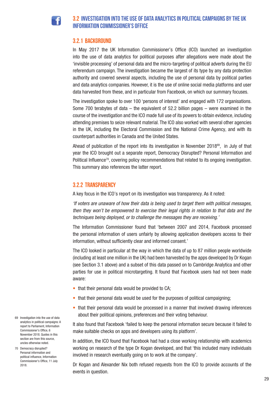

### 3.2 Investigation into the use of data analytics in political campaigns by the UK Information Commissioner's Office

#### 3.2.1 Background

In May 2017 the UK Information Commissioner's Office (ICO) launched an investigation into the use of data analytics for political purposes after allegations were made about the 'invisible processing' of personal data and the micro-targeting of political adverts during the EU referendum campaign. The investigation became the largest of its type by any data protection authority and covered several aspects, including the use of personal data by political parties and data analytics companies. However, it is the use of online social media platforms and user data harvested from these, and in particular from Facebook, on which our summary focuses.

The investigation spoke to over 100 'persons of interest' and engaged with 172 organisations. Some 700 terabytes of data  $-$  the equivalent of 52.2 billion pages  $-$  were examined in the course of the investigation and the ICO made full use of its powers to obtain evidence, including attending premises to seize relevant material. The ICO also worked with several other agencies in the UK, including the Electoral Commission and the National Crime Agency, and with its counterpart authorities in Canada and the United States.

Ahead of publication of the report into its investigation in November 2018<sup>69</sup>, in July of that year the ICO brought out a separate report, Democracy Disrupted? Personal Information and Political Influence<sup>70</sup>, covering policy recommendations that related to its ongoing investigation. This summary also references the latter report.

#### 3.2.2 Transparency

A key focus in the ICO's report on its investigation was transparency. As it noted:

*'If voters are unaware of how their data is being used to target them with political messages, then they won't be empowered to exercise their legal rights in relation to that data and the techniques being deployed, or to challenge the messages they are receiving.'* 

The Information Commissioner found that 'between 2007 and 2014, Facebook processed the personal information of users unfairly by allowing application developers access to their information, without sufficiently clear and informed consent.'

The ICO looked in particular at the way in which the data of up to 87 million people worldwide (including at least one million in the UK) had been harvested by the apps developed by Dr Kogan (see Section 3.1 above) and a subset of this data passed on to Cambridge Analytica and other parties for use in political microtargeting. It found that Facebook users had not been made aware:

- that their personal data would be provided to CA;
- that their personal data would be used for the purposes of political campaigning;
- that their personal data would be processed in a manner that involved drawing inferences about their political opinions, preferences and their voting behaviour.

It also found that Facebook 'failed to keep the personal information secure because it failed to make suitable checks on apps and developers using its platform'.

In addition, the ICO found that Facebook had had a close working relationship with academics working on research of the type Dr Kogan developed, and that 'this included many individuals involved in research eventually going on to work at the company'.

Dr Kogan and Alexander Nix both refused requests from the ICO to provide accounts of the events in question.

69 Investigation into the use of data analytics in political campaigns: A report to Parliament, Information Commissioner's Office, 6 November 2018. Quotes in this section are from this source, uncles otherwise noted.

70 Democracy disrupted? Personal information and political influence, Information Commissioner's Office, 11 July 2018.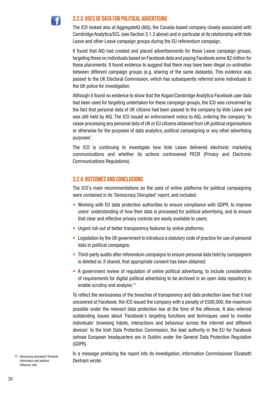

#### 3.2.3 Uses of data for political advertising

The ICO looked also at AggregateIQ (AIQ), the Canada-based company closely associated with Cambridge Analytica/SCL (see Section 3.1.3 above) and in particular at its relationship with Vote Leave and other Leave campaign groups during the EU referendum campaign.

It found that AIQ had created and placed advertisements for these Leave campaign groups, targeting these on individuals based on Facebook data and paying Facebook some \$2 million for these placements. It found evidence to suggest that there may have been illegal co-ordination between different campaign groups (e.g. sharing of the same datasets). This evidence was passed to the UK Electoral Commission, which has subsequently referred some individuals to the UK police for investigation.

Although it found no evidence to show that the Kogan/Cambridge Analytica Facebook user data had been used for targeting undertaken for these campaign groups, the ICO was concerned by the fact that personal data of UK citizens had been passed to the company by Vote Leave and was still held by AIQ. The ICO issued an enforcement notice to AIQ, ordering the company 'to cease processing any personal data of UK or EU citizens obtained from UK political organisations or otherwise for the purposes of data analytics, political campaigning or any other advertising purposes'.

The ICO is continuing to investigate how Vote Leave delivered electronic marketing communications and whether its actions contravened PECR (Privacy and Electronic Communications Regulations).

#### 3.2.4 Outcomes and conclusions

The ICO's main recommendations on the uses of online platforms for political campaigning were contained in its 'Democracy Disrupted' report, and included:

- Working with EU data protection authorities to ensure compliance with GDPR, to improve users' understanding of how their data is processed for political advertising, and to ensure that clear and effective privacy controls are easily available to users;
- Urgent roll-out of better transparency features by online platforms;
- Legislation by the UK government to introduce a statutory code of practice for use of personal data in political campaigns;
- Third-party audits after referendum campaigns to ensure personal data held by campaigners is deleted or, if shared, that appropriate consent has been obtained;
- A government review of regulation of online political advertising, to include consideration of requirements for digital political advertising to be archived in an open data repository to enable scrutiny and analysis.71

To reflect the seriousness of the breaches of transparency and data protection laws that it had uncovered at Facebook, the ICO issued the company with a penalty of £500,000, the maximum possible under the relevant data protection law at the time of the offences. It also referred outstanding issues about 'Facebook's targeting functions and techniques used to monitor individuals' browsing habits, interactions and behaviour across the internet and different devices' to the Irish Data Protection Commission, the lead authority in the EU for Facebook (whose European headquarters are in Dublin) under the General Data Protection Regulation (GDPR).

71 Democracy disrupted? Personal information and political influence, ibid.

In a message prefacing the report into its investigation, Information Commissioner Elizabeth Denham wrote: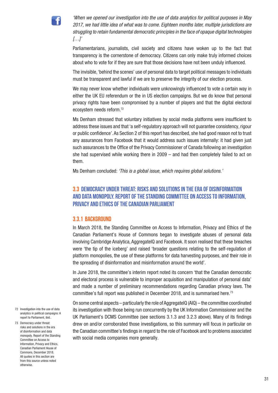

*'When we opened our investigation into the use of data analytics for political purposes in May 2017, we had little idea of what was to come. Eighteen months later, multiple jurisdictions are struggling to retain fundamental democratic principles in the face of opaque digital technologies […]'* 

Parliamentarians, journalists, civil society and citizens have woken up to the fact that transparency is the cornerstone of democracy. Citizens can only make truly informed choices about who to vote for if they are sure that those decisions have not been unduly influenced.

The invisible, 'behind the scenes' use of personal data to target political messages to individuals must be transparent and lawful if we are to preserve the integrity of our election process.

We may never know whether individuals were unknowingly influenced to vote a certain way in either the UK EU referendum or the in US election campaigns. But we do know that personal privacy rights have been compromised by a number of players and that the digital electoral ecosystem needs reform.72

Ms Denham stressed that voluntary initiatives by social media platforms were insufficient to address these issues and that 'a self-regulatory approach will not guarantee consistency, rigour or public confidence'. As Section 2 of this report has described, she had good reason not to trust any assurances from Facebook that it would address such issues internally: it had given just such assurances to the Office of the Privacy Commissioner of Canada following an investigation she had supervised while working there in 2009 – and had then completely failed to act on them.

Ms Denham concluded: *'This is a global issue, which requires global solutions.'*

#### 3.3 Democracy under threat: risks and solutions in the era of disinformation and data monopoly. Report of the Standing Committee on Access to Information, Privacy and Ethics of the Canadian Parliament

#### 3.3.1 Background

In March 2018, the Standing Committee on Access to Information, Privacy and Ethics of the Canadian Parliament's House of Commons began to investigate abuses of personal data involving Cambridge Analytica, AggregateIQ and Facebook. It soon realised that these breaches were 'the tip of the iceberg' and raised 'broader questions relating to the self-regulation of platform monopolies, the use of these platforms for data harvesting purposes, and their role in the spreading of disinformation and misinformation around the world'.

In June 2018, the committee's interim report noted its concern 'that the Canadian democratic and electoral process is vulnerable to improper acquisition and manipulation of personal data' and made a number of preliminary recommendations regarding Canadian privacy laws. The committee's full report was published in December 2018, and is summarised here.<sup>73</sup>

On some central aspects – particularly the role of AggregateIQ (AIQ) – the committee coordinated its investigation with those being run concurrently by the UK Information Commissioner and the UK Parliament's DCMS Committee (see sections 3.1.3 and 3.2.3 above). Many of its findings drew on and/or corroborated those investigations, so this summary will focus in particular on the Canadian committee's findings in regard to the role of Facebook and to problems associated with social media companies more generally.

72 Investigation into the use of data analytics in political campaigns: A report to Parliament, ibid..

73 Democracy under threat: risks and solutions in the era of disinformation and data monopoly. Report of the Standing Committee on Access to Information, Privacy and Ethics, Canadian Parliament House of Commons, December 2018. All quotes in this section are from this source unless noted otherwise.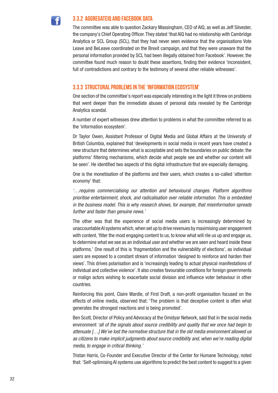

#### 3.3.2 AggregateIQ and Facebook data

The committee was able to question Zackary Massingham, CEO of AIQ, as well as Jeff Silvester, the company's Chief Operating Officer. They stated 'that AIQ had no relationship with Cambridge Analytica or SCL Group (SCL), that they had never seen evidence that the organisations Vote Leave and BeLeave coordinated on the Brexit campaign, and that they were unaware that the personal information provided by SCL had been illegally obtained from Facebook'. However, the committee found much reason to doubt these assertions, finding their evidence 'inconsistent, full of contradictions and contrary to the testimony of several other reliable witnesses'.

#### 3.3.3 Structural problems in the 'information ecosystem'

One section of the committee's report was especially interesting in the light it threw on problems that went deeper than the immediate abuses of personal data revealed by the Cambridge Analytica scandal.

A number of expert witnesses drew attention to problems in what the committee referred to as the 'information ecosystem'.

Dr Taylor Owen, Assistant Professor of Digital Media and Global Affairs at the University of British Columbia, explained that 'developments in social media in recent years have created a new structure that determines what is acceptable and sets the boundaries on public debate: the platforms' filtering mechanisms, which decide what people see and whether our content will be seen'. He identified two aspects of this digital infrastructure that are especially damaging.

One is the monetisation of the platforms and their users, which creates a so-called 'attention economy' that:

*'…requires commercialising our attention and behavioural changes. Platform algorithms prioritise entertainment, shock, and radicalisation over reliable information. This is embedded in the business model. This is why research shows, for example, that misinformation spreads further and faster than genuine news.'*

The other was that the experience of social media users is increasingly determined by unaccountable AI systems which, when set up to drive revenues by maximising user engagement with content, 'filter the most engaging content to us, to know what will rile us up and engage us, to determine what we see as an individual user and whether we are seen and heard inside these platforms.' One result of this is 'fragmentation and the vulnerability of elections', as individual users are exposed to a constant stream of information 'designed to reinforce and harden their views'. This drives polarisation and is 'increasingly leading to actual physical manifestations of individual and collective violence'. It also creates favourable conditions for foreign governments or malign actors wishing to exacerbate social division and influence voter behaviour in other countries.

Reinforcing this point, Claire Wardle, of First Draft, a non-profit organisation focused on the effects of online media, observed that: 'The problem is that deceptive content is often what generates the strongest reactions and is being promoted'.

Ben Scott, Director of Policy and Advocacy at the Omidyar Network, said that in the social media environment *'all of the signals about source credibility and quality that we once had begin to attenuate […] We've lost the normative structure that in the old media environment allowed us as citizens to make implicit judgments about source credibility and, when we're reading digital media, to engage in critical thinking.'* 

Tristan Harris, Co-Founder and Executive Director of the Center for Humane Technology, noted that: 'Self-optimising AI systems use algorithms to predict the best content to suggest to a given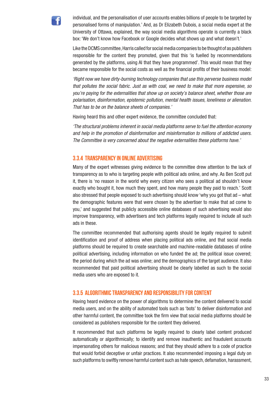

individual, and the personalisation of user accounts enables billions of people to be targeted by personalised forms of manipulation.' And, as Dr Elizabeth Dubois, a social media expert at the University of Ottawa, explained, the way social media algorithms operate is currently a black box: 'We don't know how Facebook or Google decides what shows up and what doesn't.'

Like the DCMS committee, Harris called for social media companies to be thought of as publishers responsible for the content they promoted, given that this 'is fuelled by recommendations generated by the platforms, using AI that they have programmed'. This would mean that they became responsible for the social costs as well as the financial profits of their business model:

*'Right now we have dirty-burning technology companies that use this perverse business model that pollutes the social fabric. Just as with coal, we need to make that more expensive, so you're paying for the externalities that show up on society's balance sheet, whether those are polarisation, disinformation, epistemic pollution, mental health issues, loneliness or alienation. That has to be on the balance sheets of companies.'*

Having heard this and other expert evidence, the committee concluded that:

*'The structural problems inherent in social media platforms serve to fuel the attention economy and help in the promotion of disinformation and misinformation to millions of addicted users. The Committee is very concerned about the negative externalities these platforms have.'*

#### 3.3.4 Transparency in online advertising

Many of the expert witnesses giving evidence to the committee drew attention to the lack of transparency as to who is targeting people with political ads online, and why. As Ben Scott put it, there is 'no reason in the world why every citizen who sees a political ad shouldn't know exactly who bought it, how much they spent, and how many people they paid to reach.' Scott also stressed that people exposed to such advertising should know 'why you got that ad – what the demographic features were that were chosen by the advertiser to make that ad come to you,' and suggested that publicly accessible online databases of such advertising would also improve transparency, with advertisers and tech platforms legally required to include all such ads in these.

The committee recommended that authorising agents should be legally required to submit identification and proof of address when placing political ads online, and that social media platforms should be required to create searchable and machine-readable databases of online political advertising, including information on who funded the ad; the political issue covered; the period during which the ad was online; and the demographics of the target audience. It also recommended that paid political advertising should be clearly labelled as such to the social media users who are exposed to it.

#### 3.3.5 Algorithmic transparency and responsibility for content

Having heard evidence on the power of algorithms to determine the content delivered to social media users, and on the ability of automated tools such as 'bots' to deliver disinformation and other harmful content, the committee took the firm view that social media platforms should be considered as publishers responsible for the content they delivered.

It recommended that such platforms be legally required to clearly label content produced automatically or algorithmically; to identify and remove inauthentic and fraudulent accounts impersonating others for malicious reasons; and that they should adhere to a code of practice that would forbid deceptive or unfair practices. It also recommended imposing a legal duty on such platforms to swiftly remove harmful content such as hate speech, defamation, harassment,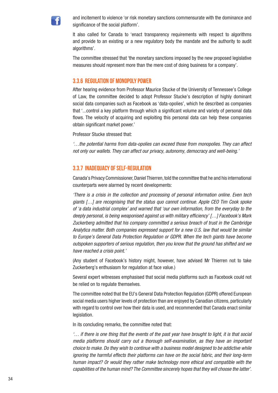

and incitement to violence 'or risk monetary sanctions commensurate with the dominance and significance of the social platform'.

It also called for Canada to 'enact transparency requirements with respect to algorithms and provide to an existing or a new regulatory body the mandate and the authority to audit algorithms'.

The committee stressed that 'the monetary sanctions imposed by the new proposed legislative measures should represent more than the mere cost of doing business for a company'.

#### 3.3.6 Regulation of monopoly power

After hearing evidence from Professor Maurice Stucke of the University of Tennessee's College of Law, the committee decided to adopt Professor Stucke's description of highly dominant social data companies such as Facebook as 'data-opolies', which he described as companies that '...control a key platform through which a significant volume and variety of personal data flows. The velocity of acquiring and exploiting this personal data can help these companies obtain significant market power.'

Professor Stucke stressed that:

*'…the potential harms from data-opolies can exceed those from monopolies. They can affect not only our wallets. They can affect our privacy, autonomy, democracy and well-being.'*

#### 3.3.7 Inadequacy of self-regulation

Canada's Privacy Commissioner, Daniel Thierren, told the committee that he and his international counterparts were alarmed by recent developments:

*'There is a crisis in the collection and processing of personal information online. Even tech giants […] are recognising that the status quo cannot continue. Apple CEO Tim Cook spoke of 'a data industrial complex' and warned that 'our own information, from the everyday to the deeply personal, is being weaponised against us with military efficiency' […] Facebook's Mark Zuckerberg admitted that his company committed a serious breach of trust in the Cambridge Analytica matter. Both companies expressed support for a new U.S. law that would be similar to Europe's General Data Protection Regulation or GDPR. When the tech giants have become outspoken supporters of serious regulation, then you know that the ground has shifted and we have reached a crisis point.'*

(Any student of Facebook's history might, however, have advised Mr Thierren not to take Zuckerberg's enthusiasm for regulation at face value.)

Several expert witnesses emphasised that social media platforms such as Facebook could not be relied on to regulate themselves.

The committee noted that the EU's General Data Protection Regulation (GDPR) offered European social media users higher levels of protection than are enjoyed by Canadian citizens, particularly with regard to control over how their data is used, and recommended that Canada enact similar legislation.

In its concluding remarks, the committee noted that:

*'… if there is one thing that the events of the past year have brought to light, it is that social media platforms should carry out a thorough self-examination, as they have an important choice to make. Do they wish to continue with a business model designed to be addictive while ignoring the harmful effects their platforms can have on the social fabric, and their long-term human impact? Or would they rather make technology more ethical and compatible with the capabilities of the human mind? The Committee sincerely hopes that they will choose the latter'.*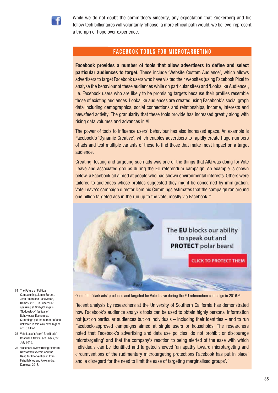

While we do not doubt the committee's sincerity, any expectation that Zuckerberg and his fellow tech billionaires will voluntarily 'choose' a more ethical path would, we believe, represent a triumph of hope over experience.

#### FACEBOOK TOOLS FOR MICROTARGETING

Facebook provides a number of tools that allow advertisers to define and select particular audiences to target. These include 'Website Custom Audience', which allows advertisers to target Facebook users who have visited their websites (using Facebook Pixel to analyse the behaviour of these audiences while on particular sites) and 'Lookalike Audience', i.e. Facebook users who are likely to be promising targets because their profiles resemble those of existing audiences. Lookalike audiences are created using Facebook's social graph data including demographics, social connections and relationships, income, interests and newsfeed activity. The granularity that these tools provide has increased greatly along with rising data volumes and advances in AI.

The power of tools to influence users' behaviour has also increased apace. An example is Facebook's 'Dynamic Creative', which enables advertisers to rapidly create huge numbers of ads and test multiple variants of these to find those that make most impact on a target audience.

Creating, testing and targeting such ads was one of the things that AIQ was doing for Vote Leave and associated groups during the EU referendum campaign. An example is shown below: a Facebook ad aimed at people who had shown environmental interests. Others were tailored to audiences whose profiles suggested they might be concerned by immigration. Vote Leave's campaign director Dominic Cummings estimates that the campaign ran around one billion targeted ads in the run up to the vote, mostly via Facebook.<sup>74</sup>

> The EU blocks our ability to speak out and **PROTECT** polar bears!

> > **CLICK TO PROTECT THEM**

One of the 'dark ads' produced and targeted for Vote Leave during the EU referendum campaign in 2016.75

Recent analysis by researchers at the University of Southern California has demonstrated how Facebook's audience analysis tools can be used to obtain highly personal information not just on particular audiences but on individuals – including their identities – and to run Facebook-approved campaigns aimed at single users or households. The researchers noted that Facebook's advertising and data use policies 'do not prohibit or discourage microtargeting' and that the company's reaction to being alerted of the ease with which individuals can be identified and targeted showed 'an apathy toward microtargeting and circumventions of the rudimentary microtargeting protections Facebook has put in place' and 'a disregard for the need to limit the ease of targeting marginalised groups'.76

- 74 The Future of Political Campaigning, Jamie Bartlett, Josh Smith and Rose Acton, Demos, 2018. In June 2017, speaking at OgilvyChange's 'Nudgestock' festival of Behavioural Economics, Cummings put the number of ads delivered in this way even higher, at 1.5 billion.
- 75 'Vote Leave's 'dark' Brexit ads', Channel 4 News Fact Check, 27 July 2018.
- 76 'Facebook's Advertising Platform: New Attack Vectors and the Need for Interventions', Irfan Faizullabhoy and Aleksandra Korolova, 2018.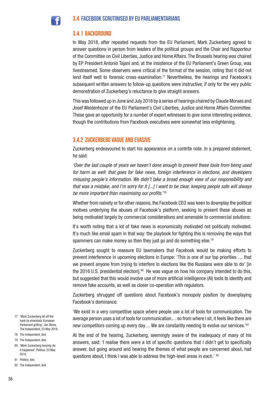

#### 3.4.1 Background

In May 2018, after repeated requests from the EU Parliament, Mark Zuckerberg agreed to answer questions in person from leaders of the political groups and the Chair and Rapporteur of the Committee on Civil Liberties, Justice and Home Affairs. The Brussels hearing was chaired by EP President Antonio Tajani and, at the insistence of the EU Parliament's Green Group, was livestreamed. Some observers were critical of the format of the session, noting that it did not lend itself well to forensic cross-examination.<sup>77</sup> Nevertheless, the hearings and Facebook's subsequent written answers to follow-up questions were instructive, if only for the very public demonstration of Zuckerberg's reluctance to give straight answers.

This was followed up in June and July 2018 by a series of hearings chaired by Claude Moraes and Josef Weidenhozer of the EU Parliament's Civil Liberties, Justice and Home Affairs Committee. These gave an opportunity for a number of expert witnesses to give some interesting evidence, though the contributions from Facebook executives were somewhat less enlightening.

#### 3.4.2 Zuckerberg vague and evasive

Zuckerberg endeavoured to start his appearance on a contrite note. In a prepared statement, he said:

*'Over the last couple of years we haven't done enough to prevent these tools from being used for harm as well: that goes for fake news, foreign interference in elections, and developers misusing people's information. We didn't take a broad enough view of our responsibility and that was a mistake, and I'm sorry for it [...] I want to be clear, keeping people safe will always be more important than maximising our profits.*' 78

Whether from naivety or for other reasons, the Facebook CEO was keen to downplay the political motives underlying the abuses of Facebook's platform, seeking to present these abuses as being motivated largely by commercial considerations and amenable to commercial solutions:

It's worth noting that a lot of fake news is economically motivated not politically motivated. It's much like email spam in that way: the playbook for fighting this is removing the ways that spammers can make money so then they just go and do something else.<sup>79</sup>

Zuckerberg sought to reassure EU lawmakers that Facebook would be making efforts to prevent interference in upcoming elections in Europe: 'This is one of our top priorities … that we prevent anyone from trying to interfere in elections like the Russians were able to do' [in the 2016 U.S. presidential election.<sup>80</sup> He was vague on how his company intended to do this. but suggested that this would involve use of more artificial intelligence (AI) tools to identify and remove fake accounts, as well as closer co-operation with regulators.

Zuckerberg shrugged off questions about Facebook's monopoly position by downplaying Facebook's dominance:

'We exist in a very competitive space where people use a lot of tools for communication. The average person uses a lot of tools for communication… so from where I sit, it feels like there are new competitors coming up every day... We are constantly needing to evolve our services.<sup>'81</sup>

At the end of the hearing, Zuckerberg, seemingly aware of the inadequacy of many of his answers, said: 'I realise there were a lot of specific questions that I didn't get to specifically answer, but going around and hearing the themes of what people are concerned about, had questions about, I think I was able to address the high-level areas in each.' 82

- 77 'Mark Zuckerberg let off the hook by shambolic European Parliament grilling', Jon Stone, The Independent, 23 May 2018.
- 78 The Independent, ibid.
- 79 The Independent, ibid.
- 80 'Mark Zuckerberg hearing: As it happened', Politico, 23 May 2018.
- 81 Politico, ibid.
- 82 The Independent, ibid.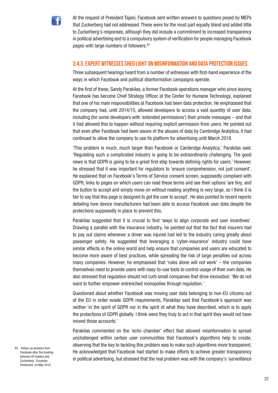

At the request of President Tajani, Facebook sent written answers to questions posed by MEPs that Zuckerberg had not addressed. These were for the most part equally bland and added little to Zuckerberg's responses, although they did include a commitment to increased transparency in political advertising and to a compulsory system of verification for people managing Facebook pages with large numbers of followers.83

#### 3.4.3. Expert witnesses shed light on misinformation and data protection issues

Three subsequent hearings heard from a number of witnesses with first-hand experience of the ways in which Facebook and political disinformation campaigns operate.

At the first of these, Sandy Parakilas, a former Facebook operations manager who since leaving Facebook has become Chief Strategy Officer at the Center for Humane Technology, explained that one of his main responsibilities at Facebook had been data protection. He emphasised that the company had, until 2014/15, allowed developers to access a vast quantity of user data, including (for some developers with 'extended permissions') their private messages – and that it had allowed this to happen without requiring explicit permission from users. He pointed out that even after Facebook had been aware of the abuses of data by Cambridge Analytica, it had continued to allow the company to use its platform for advertising until March 2018.

'This problem is much, much larger than Facebook or Cambridge Analytica,' Parakilas said. 'Regulating such a complicated industry is going to be extraordinarily challenging. The good news is that GDPR is going to be a great first step towards defining rights for users.' However, he stressed that it was important for regulators to 'ensure comprehension, not just consent'. He explained that on Facebook's Terms of Service consent screen, supposedly compliant with GDPR, links to pages on which users can read these terms and see their options 'are tiny, and the button to accept and simply move on without reading anything is very large, so I think it is fair to say that this page is designed to get the user to accept'. He also pointed to recent reports detailing how device manufacturers had been able to access Facebook user data despite the protections supposedly in place to prevent this.

Parakilas suggested that it is crucial to find 'ways to align corporate and user incentives'. Drawing a parallel with the insurance industry, he pointed out that the fact that insurers had to pay out claims whenever a driver was injured had led to the industry caring greatly about passenger safety. He suggested that leveraging a 'cyber-insurance' industry could have similar effects in the online world and help ensure that companies and users are educated to become more aware of best practices, while spreading the risk of large penalties out across many companies. However, he emphasised that 'rules alone will not work' – the companies themselves need to provide users with easy-to-use tools to control usage of their own data. He also stressed that regulation should not curb small companies that drive innovation: 'We do not want to further empower entrenched monopolies through regulation.'

Questioned about whether Facebook was moving user data belonging to non-EU citizens out of the EU in order evade GDPR requirements, Parakilas said that Facebook's approach was neither 'in the spirit of GDPR nor in the spirit of what they have described, which is to apply the protections of GDPR globally. I think were they truly to act in that spirit they would not have moved those accounts.'

Parakilas commented on the 'echo chamber' effect that allowed misinformation to spread unchallenged within certain user communities that Facebook's algorithms help to create, observing that the key to tackling this problem was to make such algorithms more transparent. He acknowledged that Facebook had started to make efforts to achieve greater transparency in political advertising, but stressed that the real problem was with the company's 'surveillance

83 'Follow-up answers from Facebook after the meeting between EP leaders and Zuckerberg', European Parliament, 24 May 2018.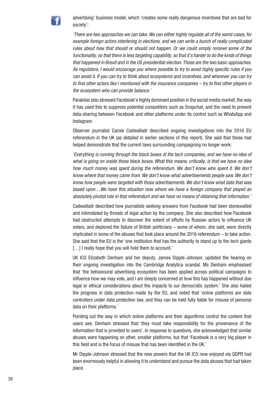

advertising' business model, which 'creates some really dangerous incentives that are bad for society':

*'There are two approaches we can take. We can either highly regulate all of the worst cases, for example foreign actors interfering in elections, and we can write a bunch of really complicated rules about how that should or should not happen. Or we could simply remove some of the functionality, so that there is less targeting capability, so that it's harder to do the kinds of things that happened in Brexit and in the US presidential election. Those are the two basic approaches. As regulators, I would encourage you where possible to try to avoid highly specific rules if you can avoid it. If you can try to think about ecosystems and incentives, and wherever you can try to find other actors like I mentioned with the insurance companies – try to find other players in the ecosystem who can provide balance.'*

Parakilas also stressed Facebook's highly dominant position in the social media market, the way it has used this to suppress potential competitors such as Snapchat, and the need to prevent data-sharing between Facebook and other platforms under its control such as WhatsApp and Instagram.

Observer journalist Carole Cadwalladr described ongoing investigations into the 2016 EU referendum in the UK (as detailed in earlier sections of this report). She said that these had helped demonstrate that the current laws surrounding campaigning no longer work:

*'Everything is running through the black boxes of the tech companies, and we have no idea of what is going on inside those black boxes. What this means, critically, is that we have no idea how much money was spent during the referendum. We don't know who spent it. We don't know where that money came from. We don't know what advertisements people saw. We don't know how people were targeted with those advertisements. We don't know what data that was based upon…We have this situation now where we have a foreign company that played an absolutely pivotal role in that referendum and we have no means of obtaining that information.'*

Cadwalladr described how journalists seeking answers from Facebook had been stonewalled and intimidated by threats of legal action by the company. She also described how Facebook had obstructed attempts to discover the extent of efforts by Russian actors to influence UK voters, and deplored the failure of British politicians – some of whom, she said, were directly implicated in some of the abuses that took place around the 2016 referendum – to take action. She said that the EU is the 'one institution that has the authority to stand up to the tech giants [...] I really hope that you will hold them to account.'

UK ICO Elizabeth Denham and her deputy, James Dipple-Johnson, updated the hearing on their ongoing investigation into the Cambridge Analytica scandal. Ms Denham emphasised that 'the behavioural advertising ecosystem has been applied across political campaigns to influence how we may vote, and I am deeply concerned at how this has happened without due legal or ethical considerations about the impacts to our democratic system.' She also hailed the progress in data protection made by the EU, and noted that 'online platforms are data controllers under data protection law, and they can be held fully liable for misuse of personal data on their platforms.'

Pointing out the way in which online platforms and their algorithms control the content that users see, Denham stressed that 'they must take responsibility for the provenance of the information that is provided to users'. In response to questions, she acknowledged that similar abuses were happening on other, smaller platforms, but that 'Facebook is a very big player in this field and is the focus of misuse that has been identified in the UK.'

Mr Dipple-Johnson stressed that the new powers that the UK ICO now enjoyed via GDPR had been enormously helpful in allowing it to understand and pursue the data abuses that had taken place.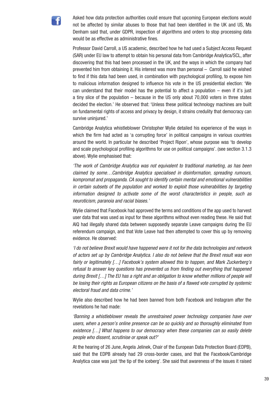

Asked how data protection authorities could ensure that upcoming European elections would not be affected by similar abuses to those that had been identified in the UK and US, Ms Denham said that, under GDPR, inspection of algorithms and orders to stop processing data would be as effective as administrative fines.

Professor David Carroll, a US academic, described how he had used a Subject Access Request (SAR) under EU law to attempt to obtain his personal data from Cambridge Analytica/SCL, after discovering that this had been processed in the UK, and the ways in which the company had prevented him from obtaining it. His interest was more than personal – Carroll said he wished to find if this data had been used, in combination with psychological profiling, to expose him to malicious information designed to influence his vote in the US presidential election: 'We can understand that their model has the potential to affect a population – even if it's just a tiny slice of the population – because in the US only about 70,000 voters in three states decided the election.' He observed that: 'Unless these political technology machines are built on fundamental rights of access and privacy by design, it strains credulity that democracy can survive uninjured.'

Cambridge Analytica whistleblower Christopher Wylie detailed his experience of the ways in which the firm had acted as 'a corrupting force' in political campaigns in various countries around the world. In particular he described 'Project Ripon', whose purpose was 'to develop and scale psychological profiling algorithms for use on political campaigns'. (see section 3.1.3 above). Wylie emphasised that:

*'The work of Cambridge Analytica was not equivalent to traditional marketing, as has been claimed by some…Cambridge Analytica specialised in disinformation, spreading rumours, kompromat and propaganda. CA sought to identify certain mental and emotional vulnerabilities in certain subsets of the population and worked to exploit those vulnerabilities by targeting information designed to activate some of the worst characteristics in people, such as neuroticism, paranoia and racial biases.'* 

Wylie claimed that Facebook had approved the terms and conditions of the app used to harvest user data that was used as input for these algorithms without even reading these. He said that AIQ had illegally shared data between supposedly separate Leave campaigns during the EU referendum campaign, and that Vote Leave had then attempted to cover this up by removing evidence. He observed:

*'I do not believe Brexit would have happened were it not for the data technologies and network of actors set up by Cambridge Analytica. I also do not believe that the Brexit result was won fairly or legitimately […] Facebook's system allowed this to happen, and Mark Zuckerberg's refusal to answer key questions has prevented us from finding out everything that happened during Brexit […] The EU has a right and an obligation to know whether millions of people will be losing their rights as European citizens on the basis of a flawed vote corrupted by systemic electoral fraud and data crime.'*

Wylie also described how he had been banned from both Facebook and Instagram after the revelations he had made:

*'Banning a whistleblower reveals the unrestrained power technology companies have over users, when a person's online presence can be so quickly and so thoroughly eliminated from existence […] What happens to our democracy when these companies can so easily delete people who dissent, scrutinise or speak out?'*

At the hearing of 26 June, Angela Jelinek, Chair of the European Data Protection Board (EDPB), said that the EDPB already had 29 cross-border cases, and that the Facebook/Cambridge Analytica case was just 'the tip of the iceberg'. She said that awareness of the issues it raised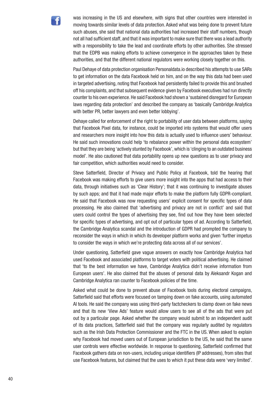

was increasing in the US and elsewhere, with signs that other countries were interested in moving towards similar levels of data protection. Asked what was being done to prevent future such abuses, she said that national data authorities had increased their staff numbers, though not all had sufficient staff, and that it was important to make sure that there was a lead authority with a responsibility to take the lead and coordinate efforts by other authorities. She stressed that the EDPB was making efforts to achieve convergence in the approaches taken by these authorities, and that the different national regulators were working closely together on this.

Paul Dehaye of data protection organisation Personaldata.io described his attempts to use SARs to get information on the data Facebook held on him, and on the way this data had been used in targeted advertising, noting that Facebook had persistently failed to provide this and brushed off his complaints, and that subsequent evidence given by Facebook executives had run directly counter to his own experience. He said Facebook had shown a 'sustained disregard for European laws regarding data protection' and described the company as 'basically Cambridge Analytica with better PR, better lawyers and even better lobbying'.

Dehaye called for enforcement of the right to portability of user data between platforms, saying that Facebook Pixel data, for instance, could be imported into systems that would offer users and researchers more insight into how this data is actually used to influence users' behaviour. He said such innovations could help 'to rebalance power within the personal data ecosystem' but that they are being 'actively stunted by Facebook', which is 'clinging to an outdated business model'. He also cautioned that data portability opens up new questions as to user privacy and fair competition, which authorities would need to consider.

Steve Satterfield, Director of Privacy and Public Policy at Facebook, told the hearing that Facebook was making efforts to give users more insight into the apps that had access to their data, through initiatives such as 'Clear History'; that it was continuing to investigate abuses by such apps; and that it had made major efforts to make the platform fully GDPR-compliant. He said that Facebook was now requesting users' explicit consent for specific types of data processing. He also claimed that 'advertising and privacy are not in conflict' and said that users could control the types of advertising they see, find out how they have been selected for specific types of advertising, and opt out of particular types of ad. According to Satterfield, the Cambridge Analytica scandal and the introduction of GDPR had prompted the company to reconsider the ways in which in which its developer platform works and given 'further impetus to consider the ways in which we're protecting data across all of our services'.

Under questioning, Satterfield gave vague answers on exactly how Cambridge Analytica had used Facebook and associated platforms to target voters with political advertising. He claimed that 'to the best information we have, Cambridge Analytica didn't receive information from European users'. He also claimed that the abuses of personal data by Aleksandr Kogan and Cambridge Analytica ran counter to Facebook policies of the time.

Asked what could be done to prevent abuse of Facebook tools during electoral campaigns, Satterfield said that efforts were focused on tamping down on fake accounts, using automated AI tools. He said the company was using third-party factcheckers to clamp down on fake news and that its new 'View Ads' feature would allow users to see all of the ads that were put out by a particular page. Asked whether the company would submit to an independent audit of its data practices, Satterfield said that the company was regularly audited by regulators such as the Irish Data Protection Commissioner and the FTC in the US. When asked to explain why Facebook had moved users out of European jurisdiction to the US, he said that the same user controls were effective worldwide. In response to questioning, Satterfield confirmed that Facebook gathers data on non-users, including unique identifiers (IP addresses), from sites that use Facebook features, but claimed that the uses to which it put these data were 'very limited'.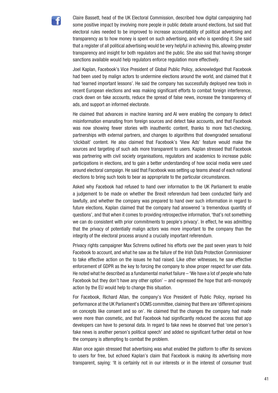

Claire Bassett, head of the UK Electoral Commission, described how digital campaigning had some positive impact by involving more people in public debate around elections, but said that electoral rules needed to be improved to increase accountability of political advertising and transparency as to how money is spent on such advertising, and who is spending it. She said that a register of all political advertising would be very helpful in achieving this, allowing greater transparency and insight for both regulators and the public. She also said that having stronger sanctions available would help regulators enforce regulation more effectively.

Joel Kaplan, Facebook's Vice President of Global Public Policy, acknowledged that Facebook had been used by malign actors to undermine elections around the world, and claimed that it had 'learned important lessons'. He said the company has successfully deployed new tools in recent European elections and was making significant efforts to combat foreign interference, crack down on fake accounts, reduce the spread of false news, increase the transparency of ads, and support an informed electorate.

He claimed that advances in machine learning and AI were enabling the company to detect misinformation emanating from foreign sources and detect fake accounts, and that Facebook was now showing fewer stories with inauthentic content, thanks to more fact-checking, partnerships with external partners, and changes to algorithms that downgraded sensational 'clickbait' content. He also claimed that Facebook's 'View Ads' feature would make the sources and targeting of such ads more transparent to users. Kaplan stressed that Facebook was partnering with civil society organisations, regulators and academics to increase public participations in elections, and to gain a better understanding of how social media were used around electoral campaign. He said that Facebook was setting up teams ahead of each national elections to bring such tools to bear as appropriate to the particular circumstances.

Asked why Facebook had refused to hand over information to the UK Parliament to enable a judgement to be made on whether the Brexit referendum had been conducted fairly and lawfully, and whether the company was prepared to hand over such information in regard to future elections, Kaplan claimed that the company had answered 'a tremendous quantity of questions', and that when it comes to providing retrospective information, 'that's not something we can do consistent with prior commitments to people's privacy'. In effect, he was admitting that the privacy of potentially malign actors was more important to the company than the integrity of the electoral process around a crucially important referendum.

Privacy rights campaigner Max Schrems outlined his efforts over the past seven years to hold Facebook to account, and what he saw as the failure of the Irish Data Protection Commissioner to take effective action on the issues he had raised. Like other witnesses, he saw effective enforcement of GDPR as the key to forcing the company to show proper respect for user data. He noted what he described as a fundamental market failure – 'We have a lot of people who hate Facebook but they don't have any other option' – and expressed the hope that anti-monopoly action by the EU would help to change this situation.

For Facebook, Richard Allan, the company's Vice President of Public Policy, reprised his performance at the UK Parliament's DCMS committee, claiming that there are 'different opinions on concepts like consent and so on'. He claimed that the changes the company had made were more than cosmetic, and that Facebook had significantly reduced the access that app developers can have to personal data. In regard to fake news he observed that 'one person's fake news is another person's political speech' and added no significant further detail on how the company is attempting to combat the problem.

Allan once again stressed that advertising was what enabled the platform to offer its services to users for free, but echoed Kaplan's claim that Facebook is making its advertising more transparent, saying: 'It is certainly not in our interests or in the interest of consumer trust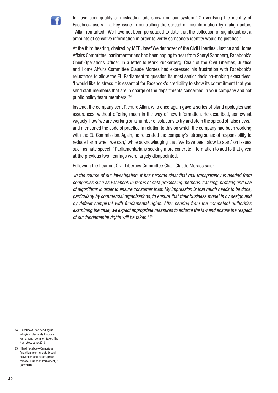

to have poor quality or misleading ads shown on our system.' On verifying the identity of Facebook users – a key issue in controlling the spread of misinformation by malign actors –Allan remarked: 'We have not been persuaded to date that the collection of significant extra amounts of sensitive information in order to verify someone's identity would be justified.'

At the third hearing, chaired by MEP Josef Weidenhozer of the Civil Liberties, Justice and Home Affairs Committee, parliamentarians had been hoping to hear from Sheryl Sandberg, Facebook's Chief Operations Officer. In a letter to Mark Zuckerberg, Chair of the Civil Liberties, Justice and Home Affairs Committee Claude Moraes had expressed his frustration with Facebook's reluctance to allow the EU Parliament to question its most senior decision-making executives: 'I would like to stress it is essential for Facebook's credibility to show its commitment that you send staff members that are in charge of the departments concerned in your company and not public policy team members.'84

Instead, the company sent Richard Allan, who once again gave a series of bland apologies and assurances, without offering much in the way of new information. He described, somewhat vaguely, how 'we are working on a number of solutions to try and stem the spread of false news,' and mentioned the code of practice in relation to this on which the company had been working with the EU Commission. Again, he reiterated the company's 'strong sense of responsibility to reduce harm when we can,' while acknowledging that 'we have been slow to start' on issues such as hate speech.' Parliamentarians seeking more concrete information to add to that given at the previous two hearings were largely disappointed.

Following the hearing, Civil Liberties Committee Chair Claude Moraes said:

*'In the course of our investigation, it has become clear that real transparency is needed from companies such as Facebook in terms of data processing methods, tracking, profiling and use of algorithms in order to ensure consumer trust. My impression is that much needs to be done, particularly by commercial organisations, to ensure that their business model is by design and by default compliant with fundamental rights. After hearing from the competent authorities examining the case, we expect appropriate measures to enforce the law and ensure the respect of our fundamental rights will be taken.'* <sup>85</sup>

- 84 'Facebook! Stop sending us lobbyists! demands European Parliament', Jennifer Baker, The Next Web, June 2018
- 85 'Third Facebook-Cambridge Analytica hearing: data breach prevention and cures', press release, European Parliament, 3 July 2018.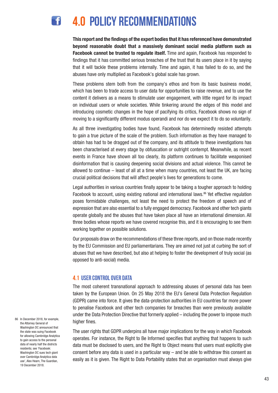## 4.0 Policy recommendations

This report and the findings of the expert bodies that it has referenced have demonstrated beyond reasonable doubt that a massively dominant social media platform such as Facebook cannot be trusted to regulate itself. Time and again, Facebook has responded to findings that it has committed serious breaches of the trust that its users place in it by saying that it will tackle these problems internally. Time and again, it has failed to do so, and the abuses have only multiplied as Facebook's global scale has grown.

These problems stem both from the company's ethos and from its basic business model, which has been to trade access to user data for opportunities to raise revenue, and to use the content it delivers as a means to stimulate user engagement, with little regard for its impact on individual users or whole societies. While tinkering around the edges of this model and introducing cosmetic changes in the hope of pacifying its critics, Facebook shows no sign of moving to a significantly different modus operandi and nor do we expect it to do so voluntarily.

As all three investigating bodies have found, Facebook has determinedly resisted attempts to gain a true picture of the scale of the problem. Such information as they have managed to obtain has had to be dragged out of the company, and its attitude to these investigations has been characterised at every stage by obfuscation or outright contempt. Meanwhile, as recent events in France have shown all too clearly, its platform continues to facilitate weaponised disinformation that is causing deepening social divisions and actual violence. This cannot be allowed to continue – least of all at a time when many countries, not least the UK, are facing crucial political decisions that will affect people's lives for generations to come.

Legal authorities in various countries finally appear to be taking a tougher approach to holding Facebook to account, using existing national and international laws.<sup>86</sup> Yet effective regulation poses formidable challenges, not least the need to protect the freedom of speech and of expression that are also essential to a fully engaged democracy. Facebook and other tech giants operate globally and the abuses that have taken place all have an international dimension. All three bodies whose reports we have covered recognise this, and it is encouraging to see them working together on possible solutions.

Our proposals draw on the recommendations of these three reports, and on those made recently by the EU Commission and EU parliamentarians. They are aimed not just at curbing the sort of abuses that we have described, but also at helping to foster the development of truly social (as opposed to anti-social) media.

#### 4.1 USER CONTROL OVER DATA

The most coherent transnational approach to addressing abuses of personal data has been taken by the European Union. On 25 May 2018 the EU's General Data Protection Regulation (GDPR) came into force. It gives the data-protection authorities in EU countries far more power to penalise Facebook and other tech companies for breaches than were previously available under the Data Protection Directive that formerly applied – including the power to impose much higher fines.

The user rights that GDPR underpins all have major implications for the way in which Facebook operates. For instance, the Right to Be Informed specifies that anything that happens to such data must be disclosed to users, and the Right to Object means that users must explicitly give consent before any data is used in a particular way – and be able to withdraw this consent as easily as it is given. The Right to Data Portability states that an organisation must always give

86 In December 2018, for example, the Attorney General of Washington DC announced that the state was suing Facebook for allowing Cambridge Analytica to gain access to the personal data of nearly half the districts residents; see 'Facebook: Washington DC sues tech giant over Cambridge Analytica data use', Alex Hearn, The Guardian, 19 December 2018.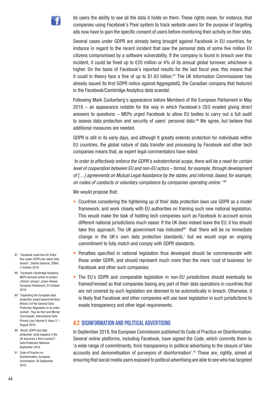

its users the ability to see all the data it holds on them. These rights mean, for instance, that companies using Facebook's Pixel system to track website users for the purpose of targeting ads now have to gain the specific consent of users before monitoring their activity on their sites.

Several cases under GDPR are already being brought against Facebook in EU countries, for instance in regard to the recent incident that saw the personal data of some five million EU citizens compromised by a software vulnerability. If the company is found in breach over this incident, it could be fined up to €20 million or 4% of its annual global turnover, whichever is higher. On the basis of Facebook's reported results for the last fiscal year, this means that it could in theory face a fine of up to  $$1.63$  billion.<sup>87</sup> The UK Information Commissioner has already issued its first GDPR notice against AggregateIQ, the Canadian company that featured in the Facebook/Cambridge Analytica data scandal.

Following Mark Zuckerberg's appearance before Members of the European Parliament in May 2018 – an appearance notable for the way in which Facebook's CEO evaded giving direct answers to questions – MEPs urged Facebook to allow EU bodies to carry out a full audit to assess data protection and security of users' personal data.<sup>88</sup> We agree, but believe that additional measures are needed.

GDPR is still in its early days, and although it greatly extends protection for individuals within EU countries, the global nature of data transfer and processing by Facebook and other tech companies means that, as expert legal commentators have noted:

*'In order to effectively enforce the GDPR's extraterritorial scope, there will be a need for certain level of cooperation between EU and non-EU actors – formal, for example, through development of […] agreements on Mutual Legal Assistance by the states, and informal, based, for example, on codes of conducts or voluntary compliance by companies operating online.'* <sup>89</sup>

We would propose that:

- Countries considering the tightening up of their data protection laws use GDPR as a model framework, and work closely with EU authorities on framing such new national legislation. This would make the task of holding tech companies such as Facebook to account across different national jurisdictions much easier. If the UK does indeed leave the EU, it too should take this approach. The UK government has indicated $90$  that 'there will be no immediate change in the UK's own data protection standards,' but we would urge an ongoing commitment to fully match and comply with GDPR standards.
- Penalties specified in national legislation thus developed should be commensurate with those under GDPR, and should represent much more than the mere 'cost of business' for Facebook and other such companies;
- The EU's GDPR and comparable legislation in non-EU jurisdictions should eventually be framed/revised so that companies basing any part of their data operations in countries that are not covered by such legislation are deemed to be automatically in breach. Otherwise, it is likely that Facebook and other companies will use laxer legislation in such jurisdictions to evade transparency and other legal requirements.

#### 4.2 Disinformation and political advertising

In September 2018, the European Commission published its Code of Practice on Disinformation. Several online platforms, including Facebook, have signed the Code, which commits them to 'a wide range of commitments, from transparency in political advertising to the closure of fake accounts and demonetisation of purveyors of disinformation'.91 These are, rightly, aimed at ensuring that social media users exposed to political advertising are able to see who has targeted

- 87 'Facebook could face \$1.63bn fine under GDPR over latest data breach', Charlie Osborne, ZDNet, 2 October 2018.
- 88 'Facebook-Cambridge Analytica: MEPs demand action to protect citizens' privacy', press release, European Parliament, 25 October 2018.
- 89 'Expanding the European data protection scope beyond territory: Article 3 of the General Data Protection Regulation in its wider context', Paul de Hert and Michal Czerniawski, International Data Privacy Law, Volume 6, Issue 3, 1 August 2016.
- 90 'Brexit, GDPR and data protection: what happens if the UK becomes a third country?', Data Protection Network, September 2018.
- 91 Code of Practice on Disinformation, European Commission, 26 September 2016,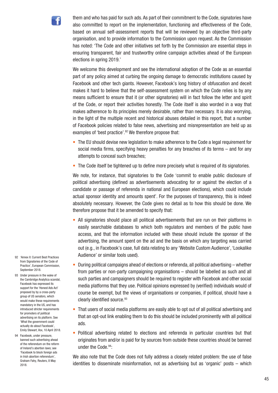

them and who has paid for such ads. As part of their commitment to the Code, signatories have also committed to report on the implementation, functioning and effectiveness of the Code, based on annual self-assessment reports that will be reviewed by an objective third-party organisation, and to provide information to the Commission upon request. As the Commission has noted: 'The Code and other initiatives set forth by the Commission are essential steps in ensuring transparent, fair and trustworthy online campaign activities ahead of the European elections in spring 2019.'

We welcome this development and see the international adoption of the Code as an essential part of any policy aimed at curbing the ongoing damage to democratic institutions caused by Facebook and other tech giants. However, Facebook's long history of obfuscation and deceit makes it hard to believe that the self-assessment system on which the Code relies is by any means sufficient to ensure that it (or other signatories) will in fact follow the letter and spirit of the Code, or report their activities honestly. The Code itself is also worded in a way that makes adherence to its principles merely desirable, rather than necessary. It is also worrying, in the light of the multiple recent and historical abuses detailed in this report, that a number of Facebook policies related to false news, advertising and misrepresentation are held up as examples of 'best practice'.<sup>92</sup> We therefore propose that:

- The EU should devise new legislation to make adherence to the Code a legal requirement for social media firms, specifying heavy penalties for any breaches of its terms – and for any attempts to conceal such breaches;
- The Code itself be tightened up to define more precisely what is required of its signatories.

We note, for instance, that signatories to the Code 'commit to enable public disclosure of political advertising (defined as advertisements advocating for or against the election of a candidate or passage of referenda in national and European elections), which could include actual sponsor identity and amounts spent'. For the purposes of transparency, this is indeed absolutely necessary. However, the Code gives no detail as to how this should be done. We therefore propose that it be amended to specify that:

- All signatories should place all political advertisements that are run on their platforms in easily searchable databases to which both regulators and members of the public have access, and that the information included with these should include the sponsor of the advertising, the amount spent on the ad and the basis on which any targeting was carried out (e.g., in Facebook's case, full data relating to any 'Website Custom Audience', 'Lookalike Audience' or similar tools used).
- During political campaigns ahead of elections or referenda, all political advertising whether from parties or non-party campaigning organisations – should be labelled as such and all such parties and campaigners should be required to register with Facebook and other social media platforms that they use. Political opinions expressed by (verified) individuals would of course be exempt, but the views of organisations or companies, if political, should have a clearly identified source.<sup>93</sup>
- That users of social media platforms are easily able to opt out of all political advertising and that an opt-out link enabling them to do this should be included prominently with all political ads.
- Political advertising related to elections and referenda in particular countries but that originates from and/or is paid for by sources from outside these countries should be banned under the Code.94:

We also note that the Code does not fully address a closely related problem: the use of false identities to disseminate misinformation, not as advertising but as 'organic' posts – which

- 92 'Annex II: Current Best Practices from Signatories of the Code of Practice', European Commission, September 2018.
- 93 Under pressure in the wake of the Cambridge Analytica scandal Facebook has expressed its support for the 'Honest Ads Act' proposed by by a cross-party group of US senators, which would make these requirements mandatory in the US, and has introduced stricter requirements for promoters of political advertising on its platform. See 'What the government could actually do about Facebook', Emily Stewart, Vox, 10 April 2018.
- 94 Facebook, under pressure, banned such advertising ahead of the referendum on the reform of Ireland's abortion laws; see 'Facebook to block foreign ads in Irish abortion referendum', Graham Fahy, Reuters, 8 May 2018.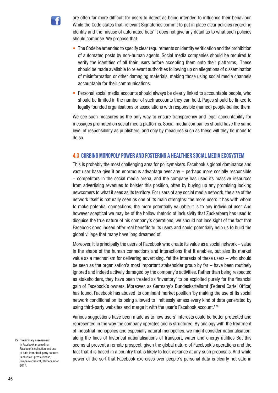

are often far more difficult for users to detect as being intended to influence their behaviour. While the Code states that 'relevant Signatories commit to put in place clear policies regarding identity and the misuse of automated bots' it does not give any detail as to what such policies should comprise. We propose that:

- The Code be amended to specify clear requirements on identity verification and the prohibition of automated posts by non-human agents. Social media companies should be required to verify the identities of all their users before accepting them onto their platforms,. These should be made available to relevant authorities following up on allegations of dissemination of misinformation or other damaging materials, making those using social media channels accountable for their communications.
- Personal social media accounts should always be clearly linked to accountable people, who should be limited in the number of such accounts they can hold. Pages should be linked to legally founded organisations or associations with responsible (named) people behind them.

We see such measures as the only way to ensure transparency and legal accountability for messages promoted on social media platforms. Social media companies should have the same level of responsibility as publishers, and only by measures such as these will they be made to do so.

#### 4.3 Curbing monopoly power and fostering a healthier social media ecosystem

This is probably the most challenging area for policymakers. Facebook's global dominance and vast user base give it an enormous advantage over any – perhaps more socially responsible – competitors in the social media arena, and the company has used its massive resources from advertising revenues to bolster this position, often by buying up any promising looking newcomers to what it sees as its territory. For users of any social media network, the size of the network itself is naturally seen as one of its main strengths: the more users it has with whom to make potential connections, the more potentially valuable it is to any individual user. And however sceptical we may be of the hollow rhetoric of inclusivity that Zuckerberg has used to disguise the true nature of his company's operations, we should not lose sight of the fact that Facebook does indeed offer real benefits to its users and could potentially help us to build the global village that many have long dreamed of.

Moreover, it is principally the users of Facebook who create its value as a social network – value in the shape of the human connections and interactions that it enables, but also its market value as a mechanism for delivering advertising. Yet the interests of these users – who should be seen as the organisation's most important stakeholder group by far – have been routinely ignored and indeed actively damaged by the company's activities. Rather than being respected as stakeholders, they have been treated as 'inventory' to be exploited purely for the financial gain of Facebook's owners. Moreover, as Germany's Bundeskartellamt (Federal Cartel Office) has found, Facebook has abused its dominant market position 'by making the use of its social network conditional on its being allowed to limitlessly amass every kind of data generated by using third-party websites and merge it with the user's Facebook account.' 95

Various suggestions have been made as to how users' interests could be better protected and represented in the way the company operates and is structured. By analogy with the treatment of industrial monopolies and especially natural monopolies, we might consider nationalisation, along the lines of historical nationalisations of transport, water and energy utilities But this seems at present a remote prospect, given the global nature of Facebook's operations and the fact that it is based in a country that is likely to look askance at any such proposals. And while power of the sort that Facebook exercises over people's personal data is clearly not safe in

95 'Preliminary assessment in Facebook proceeding: Facebook's collection and use of data from third-party sources is abusive', press release, Bundeskartellamt, 19 December 2017.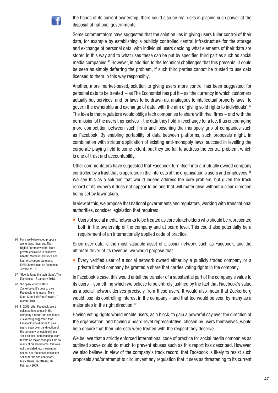

the hands of its current ownership, there could also be real risks in placing such power at the disposal of national governments.

Some commentators have suggested that the solution lies in giving users fuller control of their data, for example by establishing a publicly controlled central infrastructure for the storage and exchange of personal data, with individual users deciding what elements of their data are stored in this way and to what uses these can be put by specified third parties such as social media companies.96 However, in addition to the technical challenges that this presents, it could be seen as simply deferring the problem, if such third parties cannot be trusted to use data licensed to them in this way responsibly.

Another, more market-based, solution to giving users more control has been suggested: for personal data to be treated – as The Economist has put it – as 'the currency in which customers actually buy services' and for laws to be drawn up, analogous to intellectual property laws, 'to govern the ownership and exchange of data, with the aim of giving solid rights to individuals'.<sup>97</sup> The idea is that regulators would oblige tech companies to share with rival firms – and with the permission of the users themselves – the data they hold, in exchange for a fee, thus encouraging more competition between such firms and loosening the monopoly grip of companies such as Facebook. By enabling portability of data between platforms, such proposals might, in combination with stricter application of existing anti-monopoly laws, succeed in levelling the corporate playing field to some extent, but they too fail to address the central problem, which is one of trust and accountability.

Other commentators have suggested that Facebook turn itself into a mutually owned company controlled by a trust that is operated in the interests of the organisation's users and employees.<sup>98</sup> We see this as a solution that would indeed address the core problem, but given the track record of its owners it does not appear to be one that will materialise without a clear direction being set by lawmakers.

In view of this, we propose that national governments and regulators, working with transnational authorities, consider legislation that requires:

• Users of social media networks to be treated as core stakeholders who should be represented both in the ownership of the company and at board level. This could also potentially be a requirement of an internationally applied code of practice.

Since user data is the most valuable asset of a social network such as Facebook, and the ultimate driver of its revenue, we would propose that:

• Every verified user of a social network owned either by a publicly traded company or a private limited company be granted a share that carries voting rights in the company.

In Facebook's case, this would entail the transfer of a substantial part of the company's value to its users – something which we believe to be entirely justified by the fact that Facebook's value as a social network derives precisely from these users. It would also mean that Zuckerberg would lose his controlling interest in the company – and that too would be seen by many as a major step in the right direction.99

Having voting rights would enable users, as a block, to gain a powerful say over the direction of the organisation, and having a board-level representative, chosen by users themselves, would help ensure that their interests were treated with the respect they deserve.

We believe that a strictly enforced international code of practice for social media companies as outlined above could do much to prevent abuses such as this report has described. However, we also believe, in view of the company's track record, that Facebook is likely to resist such proposals and/or attempt to circumvent any regulation that it sees as threatening to its current

- 96 For a well-developed proposal along these lines, see The Digital Commonwealth: From private enclosure to collective benefit, Mathew Lawrence and Laurie Laybourn-Langtone, IPPR Commission on Economic Justice, 2018.
- 97 'How to tame the tech titans', The Economist, 18 January 2018.
- 98 'An open letter to Mark Zuckerberg: It's time to give Facebook to its users', Molly Scott Cato, Left Foot Forward, 21 March 2018.
- 99 In 2009, after Facebook users objected to changes in the company's terms and conditions, Zuckerberg suggested that Facebook would move to give users a say over the direction of the company by establishing a 'user council' and enabling users to vote on major changes. Like so many of his statements, this was not translated into meaningful action. See 'Facebook lets users set its terms and conditions' Mark Harris, TechRadar, 26 February 2009.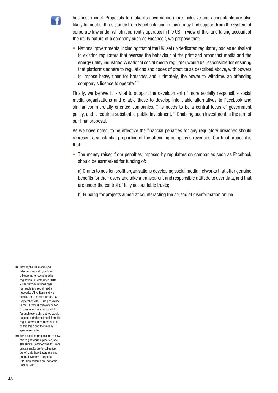

business model. Proposals to make its governance more inclusive and accountable are also likely to meet stiff resistance from Facebook, and in this it may find support from the system of corporate law under which it currently operates in the US. In view of this, and taking account of the utility nature of a company such as Facebook, we propose that:

• National governments, including that of the UK, set up dedicated regulatory bodies equivalent to existing regulators that oversee the behaviour of the print and broadcast media and the energy utility industries. A national social media regulator would be responsible for ensuring that platforms adhere to regulations and codes of practice as described above, with powers to impose heavy fines for breaches and, ultimately, the power to withdraw an offending company's licence to operate.100

Finally, we believe it is vital to support the development of more socially responsible social media organisations and enable these to develop into viable alternatives to Facebook and similar commercially oriented companies. This needs to be a central focus of government policy, and it requires substantial public investment.101 Enabling such investment is the aim of our final proposal.

As we have noted, to be effective the financial penalties for any regulatory breaches should represent a substantial proportion of the offending company's revenues. Our final proposal is that:

• The money raised from penalties imposed by regulators on companies such as Facebook should be earmarked for funding of:

a) Grants to not-for-profit organisations developing social media networks that offer genuine benefits for their users and take a transparent and responsible attitude to user data, and that are under the control of fully accountable trusts;

b) Funding for projects aimed at counteracting the spread of disinformation online.

100 Ofcom, the UK media and telecoms regulator, outlined a blueprint for social media regulation in September 2018 – see 'Ofcom outlines case for regulating social media networks' Aliya Ram and Nic Fildes, The Financial Times, 18 September 2018. One possibility in the UK would certainly be for Ofcom to assume responsibility for such oversight, but we would suggest a dedicated social media regulator would be more suited to this large and technically specialised role.

101 For a detailed proposal as to how this might work in practice, see The Digital Commonwealth: From private enclosure to collective benefit, Mathew Lawrence and Laurie Laybourn-Langtone IPPR Commission on Economic Justice, 2018.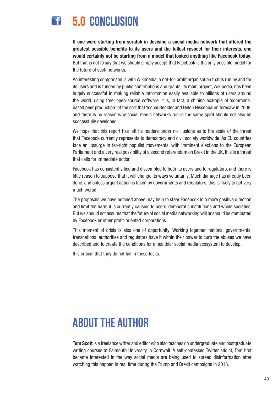### 5.0 Conclusion

If one were starting from scratch in devising a social media network that offered the greatest possible benefits to its users and the fullest respect for their interests, one would certainly not be starting from a model that looked anything like Facebook today. But that is not to say that we should simply accept that Facebook is the only possible model for the future of such networks.

An interesting comparison is with Wikimedia, a not-for-profit organisation that is run by and for its users and is funded by public contributions and grants. Its main project, Wikipedia, has been hugely successful in making reliable information easily available to billions of users around the world, using free, open-source software. It is, in fact, a shining example of 'commonsbased peer production' of the sort that Yochai Benkler and Helen Nissenbaum foresaw in 2006, and there is no reason why social media networks run in the same spirit should not also be successfully developed.

We hope that this report has left its readers under no illusions as to the scale of the threat that Facebook currently represents to democracy and civil society worldwide. As EU countries face an upsurge in far-right populist movements, with imminent elections to the European Parliament and a very real possibility of a second referendum on Brexit in the UK, this is a threat that calls for immediate action.

Facebook has consistently lied and dissembled to both its users and to regulators, and there is little reason to suppose that it will change its ways voluntarily. Much damage has already been done, and unless urgent action is taken by governments and regulators, this is likely to get very much worse

The proposals we have outlined above may help to steer Facebook in a more positive direction and limit the harm it is currently causing to users, democratic institutions and whole societies. But we should not assume that the future of social media networking will or should be dominated by Facebook or other profit-oriented corporations.

This moment of crisis is also one of opportunity. Working together, national governments, transnational authorities and regulators have it within their power to curb the abuses we have described and to create the conditions for a healthier social media ecosystem to develop.

It is critical that they do not fail in these tasks.

### About the author

Tom Scott is a freelance writer and editor who also teaches on undergraduate and postgraduate writing courses at Falmouth University in Cornwall. A self-confessed Twitter addict, Tom first became interested in the way social media are being used to spread disinformation after watching this happen in real time during the Trump and Brexit campaigns in 2016.